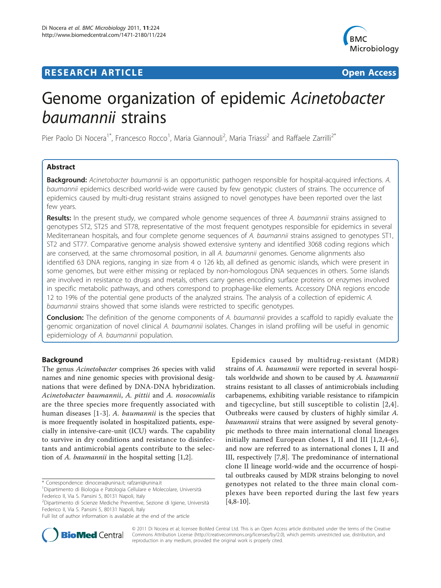## **RESEARCH ARTICLE Example 2018 Open Access**



# Genome organization of epidemic Acinetobacter baumannii strains

Pier Paolo Di Nocera<sup>1\*</sup>, Francesco Rocco<sup>1</sup>, Maria Giannouli<sup>2</sup>, Maria Triassi<sup>2</sup> and Raffaele Zarrilli<sup>2\*</sup>

## Abstract

Background: Acinetobacter baumannii is an opportunistic pathogen responsible for hospital-acquired infections. A. baumannii epidemics described world-wide were caused by few genotypic clusters of strains. The occurrence of epidemics caused by multi-drug resistant strains assigned to novel genotypes have been reported over the last few years.

Results: In the present study, we compared whole genome sequences of three A. baumannii strains assigned to genotypes ST2, ST25 and ST78, representative of the most frequent genotypes responsible for epidemics in several Mediterranean hospitals, and four complete genome sequences of A. baumannii strains assigned to genotypes ST1, ST2 and ST77. Comparative genome analysis showed extensive synteny and identified 3068 coding regions which are conserved, at the same chromosomal position, in all A. baumannii genomes. Genome alignments also identified 63 DNA regions, ranging in size from 4 o 126 kb, all defined as genomic islands, which were present in some genomes, but were either missing or replaced by non-homologous DNA sequences in others. Some islands are involved in resistance to drugs and metals, others carry genes encoding surface proteins or enzymes involved in specific metabolic pathways, and others correspond to prophage-like elements. Accessory DNA regions encode 12 to 19% of the potential gene products of the analyzed strains. The analysis of a collection of epidemic A. baumannii strains showed that some islands were restricted to specific genotypes.

**Conclusion:** The definition of the genome components of A. baumannii provides a scaffold to rapidly evaluate the genomic organization of novel clinical A. baumannii isolates. Changes in island profiling will be useful in genomic epidemiology of A. baumannii population.

## Background

The genus Acinetobacter comprises 26 species with valid names and nine genomic species with provisional designations that were defined by DNA-DNA hybridization. Acinetobacter baumannii, A. pittii and A. nosocomialis are the three species more frequently associated with human diseases [[1-3](#page-14-0)]. A. baumannii is the species that is more frequently isolated in hospitalized patients, especially in intensive-care-unit (ICU) wards. The capability to survive in dry conditions and resistance to disinfectants and antimicrobial agents contribute to the selection of A. baumannii in the hospital setting [\[1,2\]](#page-14-0).

Epidemics caused by multidrug-resistant (MDR) strains of A. baumannii were reported in several hospitals worldwide and shown to be caused by A. baumannii strains resistant to all classes of antimicrobials including carbapenems, exhibiting variable resistance to rifampicin and tigecycline, but still susceptible to colistin [[2](#page-14-0),[4\]](#page-14-0). Outbreaks were caused by clusters of highly similar A. baumannii strains that were assigned by several genotypic methods to three main international clonal lineages initially named European clones I, II and III [[1,2,4](#page-14-0)-[6](#page-14-0)], and now are referred to as international clones I, II and III, respectively [[7,8\]](#page-14-0). The predominance of international clone II lineage world-wide and the occurrence of hospital outbreaks caused by MDR strains belonging to novel genotypes not related to the three main clonal complexes have been reported during the last few years  $[4,8-10]$  $[4,8-10]$  $[4,8-10]$ .



© 2011 Di Nocera et al; licensee BioMed Central Ltd. This is an Open Access article distributed under the terms of the Creative Commons Attribution License [\(http://creativecommons.org/licenses/by/2.0](http://creativecommons.org/licenses/by/2.0)), which permits unrestricted use, distribution, and reproduction in any medium, provided the original work is properly cited.

<sup>\*</sup> Correspondence: [dinocera@unina.it](mailto:dinocera@unina.it); [rafzarri@unina.it](mailto:rafzarri@unina.it)

<sup>1</sup> Dipartimento di Biologia e Patologia Cellulare e Molecolare, Università Federico II, Via S. Pansini 5, 80131 Napoli, Italy

<sup>2</sup> Dipartimento di Scienze Mediche Preventive, Sezione di Igiene, Università Federico II, Via S. Pansini 5, 80131 Napoli, Italy

Full list of author information is available at the end of the article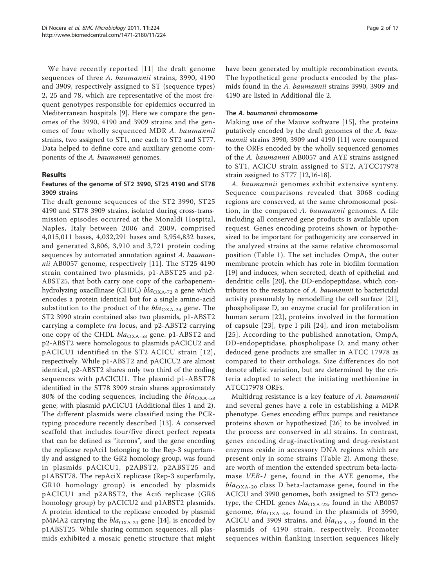We have recently reported [[11\]](#page-14-0) the draft genome sequences of three A. baumannii strains, 3990, 4190 and 3909, respectively assigned to ST (sequence types) 2, 25 and 78, which are representative of the most frequent genotypes responsible for epidemics occurred in Mediterranean hospitals [\[9](#page-14-0)]. Here we compare the genomes of the 3990, 4190 and 3909 strains and the genomes of four wholly sequenced MDR A. baumannii strains, two assigned to ST1, one each to ST2 and ST77. Data helped to define core and auxiliary genome components of the A. baumannii genomes.

## Results

## Features of the genome of ST2 3990, ST25 4190 and ST78 3909 strains

The draft genome sequences of the ST2 3990, ST25 4190 and ST78 3909 strains, isolated during cross-transmission episodes occurred at the Monaldi Hospital, Naples, Italy between 2006 and 2009, comprised 4,015,011 bases, 4,032,291 bases and 3,954,832 bases, and generated 3,806, 3,910 and 3,721 protein coding sequences by automated annotation against A. bauman-nii AB0057 genome, respectively [[11\]](#page-14-0). The ST25 4190 strain contained two plasmids, p1-ABST25 and p2- ABST25, that both carry one copy of the carbapenemhydrolyzing oxacillinase (CHDL)  $bla_{\text{OXA-72}}$  a gene which encodes a protein identical but for a single amino-acid substitution to the product of the  $bla_{\text{OXA-24}}$  gene. The ST2 3990 strain contained also two plasmids, p1-ABST2 carrying a complete tra locus, and p2-ABST2 carrying one copy of the CHDL  $bla_{\text{OXA-58}}$  gene. p1-ABST2 and p2-ABST2 were homologous to plasmids pACICU2 and pACICU1 identified in the ST2 ACICU strain [[12\]](#page-14-0), respectively. While p1-ABST2 and pACICU2 are almost identical, p2-ABST2 shares only two third of the coding sequences with pACICU1. The plasmid p1-ABST78 identified in the ST78 3909 strain shares approximately 80% of the coding sequences, including the  $bla_{\text{OXA-58}}$ gene, with plasmid pACICU1 (Additional files [1](#page-13-0) and [2](#page-13-0)). The different plasmids were classified using the PCRtyping procedure recently described [[13](#page-14-0)]. A conserved scaffold that includes four/five direct perfect repeats that can be defined as "iterons", and the gene encoding the replicase repAci1 belonging to the Rep-3 superfamily and assigned to the GR2 homology group, was found in plasmids pACICU1, p2ABST2, p2ABST25 and p1ABST78. The repAciX replicase (Rep-3 superfamily, GR10 homology group) is encoded by plasmids pACICU1 and p2ABST2, the Aci6 replicase (GR6 homology group) by pACICU2 and p1ABST2 plasmids. A protein identical to the replicase encoded by plasmid pMMA2 carrying the  $bla_{\text{OXA-24}}$  gene [[14](#page-14-0)], is encoded by p1ABST25. While sharing common sequences, all plasmids exhibited a mosaic genetic structure that might have been generated by multiple recombination events. The hypothetical gene products encoded by the plasmids found in the A. baumannii strains 3990, 3909 and 4190 are listed in Additional file [2.](#page-13-0)

## The A. baumannii chromosome

Making use of the Mauve software [[15](#page-14-0)], the proteins putatively encoded by the draft genomes of the A. baumannii strains 3990, 3909 and 4190 [\[11](#page-14-0)] were compared to the ORFs encoded by the wholly sequenced genomes of the A. baumannii AB0057 and AYE strains assigned to ST1, ACICU strain assigned to ST2, ATCC17978 strain assigned to ST77 [\[12,16](#page-14-0)-[18](#page-14-0)].

A. baumannii genomes exhibit extensive synteny. Sequence comparisons revealed that 3068 coding regions are conserved, at the same chromosomal position, in the compared A. baumannii genomes. A file including all conserved gene products is available upon request. Genes encoding proteins shown or hypothesized to be important for pathogenicity are conserved in the analyzed strains at the same relative chromosomal position (Table [1](#page-2-0)). The set includes OmpA, the outer membrane protein which has role in biofilm formation [[19\]](#page-14-0) and induces, when secreted, death of epithelial and dendritic cells [\[20](#page-14-0)], the DD-endopeptidase, which contributes to the resistance of A. baumannii to bactericidal activity presumably by remodelling the cell surface [\[21](#page-14-0)], phospholipase D, an enzyme crucial for proliferation in human serum [[22](#page-15-0)], proteins involved in the formation of capsule [\[23\]](#page-15-0), type I pili [[24](#page-15-0)], and iron metabolism [[25\]](#page-15-0). According to the published annotation, OmpA, DD-endopeptidase, phospholipase D, and many other deduced gene products are smaller in ATCC 17978 as compared to their orthologs. Size differences do not denote allelic variation, but are determined by the criteria adopted to select the initiating methionine in ATCC17978 ORFs.

Multidrug resistance is a key feature of A. baumannii and several genes have a role in establishing a MDR phenotype. Genes encoding efflux pumps and resistance proteins shown or hypothesized [[26\]](#page-15-0) to be involved in the process are conserved in all strains. In contrast, genes encoding drug-inactivating and drug-resistant enzymes reside in accessory DNA regions which are present only in some strains (Table [2](#page-3-0)). Among these, are worth of mention the extended spectrum beta-lactamase VEB-1 gene, found in the AYE genome, the  $bla_{\text{OXA-20}}$  class D beta-lactamase gene, found in the ACICU and 3990 genomes, both assigned to ST2 genotype, the CHDL genes  $bla_{\text{OXA-23}}$ , found in the AB0057 genome,  $bla_{\text{OXA-58}}$ , found in the plasmids of 3990, ACICU and 3909 strains, and  $bla_{\text{OXA-72}}$  found in the plasmids of 4190 strain, respectively. Promoter sequences within flanking insertion sequences likely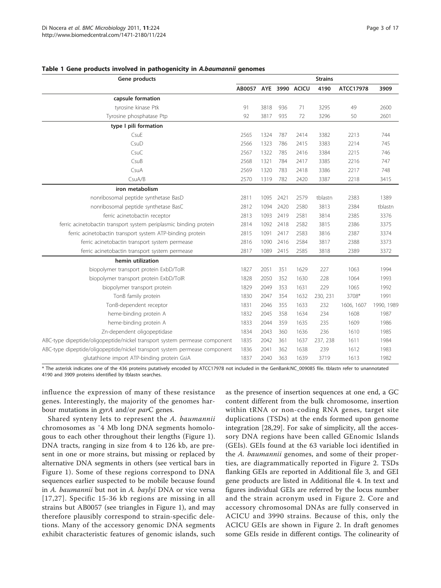| Gene products                                                              | <b>Strains</b>        |      |      |      |          |            |            |  |  |  |
|----------------------------------------------------------------------------|-----------------------|------|------|------|----------|------------|------------|--|--|--|
|                                                                            | AB0057 AYE 3990 ACICU |      |      |      | 4190     | ATCC17978  | 3909       |  |  |  |
| capsule formation                                                          |                       |      |      |      |          |            |            |  |  |  |
| tyrosine kinase Ptk                                                        | 91                    | 3818 | 936  | 71   | 3295     | 49         | 2600       |  |  |  |
| Tyrosine phosphatase Ptp                                                   | 92                    | 3817 | 935  | 72   | 3296     | 50         | 2601       |  |  |  |
| type I pili formation                                                      |                       |      |      |      |          |            |            |  |  |  |
| CsuE                                                                       | 2565                  | 1324 | 787  | 2414 | 3382     | 2213       | 744        |  |  |  |
| CsuD                                                                       | 2566                  | 1323 | 786  | 2415 | 3383     | 2214       | 745        |  |  |  |
| CsuC                                                                       | 2567                  | 1322 | 785  | 2416 | 3384     | 2215       | 746        |  |  |  |
| CsuB                                                                       | 2568                  | 1321 | 784  | 2417 | 3385     | 2216       | 747        |  |  |  |
| CsuA                                                                       | 2569                  | 1320 | 783  | 2418 | 3386     | 2217       | 748        |  |  |  |
| CsuA/B                                                                     | 2570                  | 1319 | 782  | 2420 | 3387     | 2218       | 3415       |  |  |  |
| iron metabolism                                                            |                       |      |      |      |          |            |            |  |  |  |
| nonribosomal peptide synthetase BasD                                       | 2811                  | 1095 | 2421 | 2579 | tblastn  | 2383       | 1389       |  |  |  |
| nonribosomal peptide synthetase BasC                                       | 2812                  | 1094 | 2420 | 2580 | 3813     | 2384       | tblastn    |  |  |  |
| ferric acinetobactin receptor                                              | 2813                  | 1093 | 2419 | 2581 | 3814     | 2385       | 3376       |  |  |  |
| ferric acinetobactin transport system periplasmic binding protein          | 2814                  | 1092 | 2418 | 2582 | 3815     | 2386       | 3375       |  |  |  |
| ferric acinetobactin transport system ATP-binding protein                  | 2815                  | 1091 | 2417 | 2583 | 3816     | 2387       | 3374       |  |  |  |
| ferric acinetobactin transport system permease                             | 2816                  | 1090 | 2416 | 2584 | 3817     | 2388       | 3373       |  |  |  |
| ferric acinetobactin transport system permease                             | 2817                  | 1089 | 2415 | 2585 | 3818     | 2389       | 3372       |  |  |  |
| hemin utilization                                                          |                       |      |      |      |          |            |            |  |  |  |
| biopolymer transport protein ExbD/TolR                                     | 1827                  | 2051 | 351  | 1629 | 227      | 1063       | 1994       |  |  |  |
| biopolymer transport protein ExbD/TolR                                     | 1828                  | 2050 | 352  | 1630 | 228      | 1064       | 1993       |  |  |  |
| biopolymer transport protein                                               | 1829                  | 2049 | 353  | 1631 | 229      | 1065       | 1992       |  |  |  |
| TonB family protein                                                        | 1830                  | 2047 | 354  | 1632 | 230, 231 | 3708*      | 1991       |  |  |  |
| TonB-dependent receptor                                                    | 1831                  | 2046 | 355  | 1633 | 232      | 1606, 1607 | 1990, 1989 |  |  |  |
| heme-binding protein A                                                     | 1832                  | 2045 | 358  | 1634 | 234      | 1608       | 1987       |  |  |  |
| heme-binding protein A                                                     | 1833                  | 2044 | 359  | 1635 | 235      | 1609       | 1986       |  |  |  |
| Zn-dependent oligopeptidase                                                | 1834                  | 2043 | 360  | 1636 | 236      | 1610       | 1985       |  |  |  |
| ABC-type dipeptide/oligopeptide/nickel transport system permease component | 1835                  | 2042 | 361  | 1637 | 237, 238 | 1611       | 1984       |  |  |  |
| ABC-type dipeptide/oligopeptide/nickel transport system permease component | 1836                  | 2041 | 362  | 1638 | 239      | 1612       | 1983       |  |  |  |
| glutathione import ATP-binding protein GsiA                                | 1837                  | 2040 | 363  | 1639 | 3719     | 1613       | 1982       |  |  |  |

#### <span id="page-2-0"></span>Table 1 Gene products involved in pathogenicity in A.baumannii genomes

\* The asterisk indicates one of the 436 proteins putatively encoded by ATCC17978 not included in the GenBank[:NC\\_009085](http://www.ncbi.nlm.nih.gov/pubmed/009085?dopt=Abstract) file. tblastn refer to unannotated 4190 and 3909 proteins identified by tblastn searches.

influence the expression of many of these resistance genes. Interestingly, the majority of the genomes harbour mutations in *gyrA* and/or *parC* genes.

Shared synteny lets to represent the A. baumannii chromosomes as ˜4 Mb long DNA segments homologous to each other throughout their lengths (Figure [1](#page-3-0)). DNA tracts, ranging in size from 4 to 126 kb, are present in one or more strains, but missing or replaced by alternative DNA segments in others (see vertical bars in Figure [1\)](#page-3-0). Some of these regions correspond to DNA sequences earlier suspected to be mobile because found in A. baumannii but not in A. baylyi DNA or vice versa [[17,](#page-14-0)[27](#page-15-0)]. Specific 15-36 kb regions are missing in all strains but AB0057 (see triangles in Figure [1\)](#page-3-0), and may therefore plausibly correspond to strain-specific deletions. Many of the accessory genomic DNA segments exhibit characteristic features of genomic islands, such as the presence of insertion sequences at one end, a GC content different from the bulk chromosome, insertion within tRNA or non-coding RNA genes, target site duplications (TSDs) at the ends formed upon genome integration [[28,29\]](#page-15-0). For sake of simplicity, all the accessory DNA regions have been called GEnomic Islands (GEIs). GEIs found at the 63 variable loci identified in the A. baumannii genomes, and some of their properties, are diagrammatically reported in Figure [2](#page-4-0). TSDs flanking GEIs are reported in Additional file [3](#page-13-0), and GEI gene products are listed in Additional file [4.](#page-13-0) In text and figures individual GEIs are referred by the locus number and the strain acronym used in Figure [2.](#page-4-0) Core and accessory chromosomal DNAs are fully conserved in ACICU and 3990 strains. Because of this, only the ACICU GEIs are shown in Figure [2](#page-4-0). In draft genomes some GEIs reside in different contigs. The colinearity of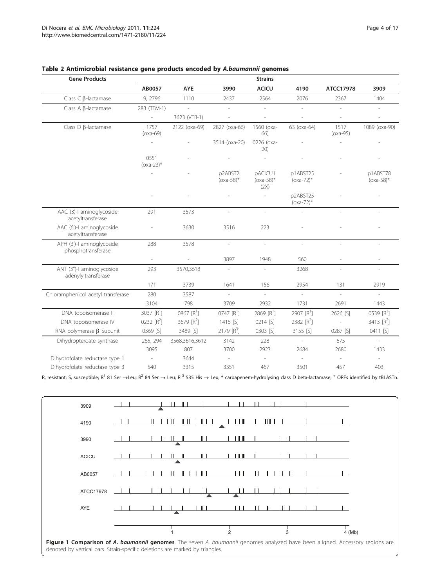| <b>Gene Products</b>                             | <b>Strains</b>           |                |                         |                                 |                          |                          |                          |  |  |  |  |  |  |  |
|--------------------------------------------------|--------------------------|----------------|-------------------------|---------------------------------|--------------------------|--------------------------|--------------------------|--|--|--|--|--|--|--|
|                                                  | AB0057                   | <b>AYE</b>     | 3990                    | <b>ACICU</b>                    | 4190                     | ATCC17978                | 3909                     |  |  |  |  |  |  |  |
| Class $\subset$ $\beta$ -lactamase               | 9, 2796                  | 1110           | 2437                    | 2564                            | 2076                     | 2367                     | 1404                     |  |  |  |  |  |  |  |
| Class $A$ $\beta$ -lactamase                     | 283 (TEM-1)              | $\sim$         | ÷.                      | ÷.                              | $\overline{a}$           | $\overline{a}$           | ÷.                       |  |  |  |  |  |  |  |
|                                                  | $\overline{\phantom{a}}$ | 3623 (VEB-1)   |                         |                                 |                          |                          |                          |  |  |  |  |  |  |  |
| Class $D$ $\beta$ -lactamase                     | 1757<br>$(oxa-69)$       | 2122 (oxa-69)  | 2827 (oxa-66)           | 1560 (oxa-<br>66)               | 63 (oxa-64)              | 1517<br>$(oxa-95)$       | 1089 (oxa-90)            |  |  |  |  |  |  |  |
|                                                  | $\overline{\phantom{a}}$ |                | 3514 (oxa-20)           | 0226 (oxa-<br>20)               |                          |                          |                          |  |  |  |  |  |  |  |
|                                                  | 0551<br>$(oxa-23)*$      |                |                         |                                 |                          |                          |                          |  |  |  |  |  |  |  |
|                                                  | J.                       |                | p2ABST2<br>$(oxa-58)^*$ | pACICU1<br>$(oxa-58)^*$<br>(2X) | p1ABST25<br>$(oxa-72)^*$ |                          | p1ABST78<br>$(oxa-58)$ * |  |  |  |  |  |  |  |
|                                                  |                          |                |                         | $\overline{\phantom{0}}$        | p2ABST25<br>$(oxa-72)$ * |                          |                          |  |  |  |  |  |  |  |
| AAC (3)-I aminoglycoside<br>acetyltransferase    | 291                      | 3573           | $\overline{a}$          | $\overline{\phantom{a}}$        | $\overline{a}$           | $\overline{\phantom{a}}$ | ÷.                       |  |  |  |  |  |  |  |
| AAC (6')-I aminoglycoside<br>acetyltransferase   |                          | 3630           | 3516                    | 223                             |                          |                          |                          |  |  |  |  |  |  |  |
| APH (3')-I aminoglycoside<br>phosphotransferase  | 288                      | 3578           | $\frac{1}{2}$           | $\overline{\phantom{a}}$        | $\overline{\phantom{a}}$ | $\overline{\phantom{0}}$ | ÷,                       |  |  |  |  |  |  |  |
|                                                  | $\overline{\phantom{a}}$ |                | 3897                    | 1948                            | 560                      |                          |                          |  |  |  |  |  |  |  |
| ANT (3")-I aminoglycoside<br>adenylyltransferase | 293                      | 3570,3618      |                         |                                 | 3268                     |                          |                          |  |  |  |  |  |  |  |
|                                                  | 171                      | 3739           | 1641                    | 156                             | 2954                     | 131                      | 2919                     |  |  |  |  |  |  |  |
| Chloramphenicol acetyl transferase               | 280                      | 3587           | $\overline{a}$          |                                 | $\overline{a}$           | L.                       | $\overline{\phantom{a}}$ |  |  |  |  |  |  |  |
|                                                  | 3104                     | 798            | 3709                    | 2932                            | 1731                     | 2691                     | 1443                     |  |  |  |  |  |  |  |
| DNA topoisomerase II                             | 3037 $[R^1]$             | 0867 $[R^1]$   | $0747 [R^1]$            | 2869 $[R^1]$                    | 2907 $[R^1]$             | 2626 [S]                 | $0539 [R^1]$             |  |  |  |  |  |  |  |
| DNA topoisomerase IV                             | 0232 $[R^2]$             | 3679 $[R^2]$   | 1415 [S]                | 0214 [S]                        | 2382 [R <sup>2</sup> ]   |                          | 3413 [R <sup>2</sup> ]   |  |  |  |  |  |  |  |
| RNA polymerase $\beta$ Subunit                   | 0369 [S]                 | 3489 [S]       | 2179 [R <sup>3</sup> ]  | 0303 [S]                        | 3155 [S]                 | 0287 [S]                 | 0411 [S]                 |  |  |  |  |  |  |  |
| Dihydropteroate synthase                         | 265, 294                 | 3568,3616,3612 | 3142                    | 228                             | $\overline{a}$           | 675                      | ÷,                       |  |  |  |  |  |  |  |
|                                                  | 3095                     | 807            | 3700                    | 2923                            | 2684                     | 2680                     | 1433                     |  |  |  |  |  |  |  |
| Dihydrofolate reductase type 1                   | $\sim$                   | 3644           | $\sim$                  | $\overline{\phantom{a}}$        | ÷,                       | $\overline{\phantom{a}}$ | $\overline{\phantom{a}}$ |  |  |  |  |  |  |  |
| Dihydrofolate reductase type 3                   | 540                      | 3315           | 3351                    | 467                             | 3501                     | 457                      | 403                      |  |  |  |  |  |  |  |

## <span id="page-3-0"></span>Table 2 Antimicrobial resistance gene products encoded by A.baumannii genomes

R, resistant; S, susceptible; R<sup>1</sup> 81 Ser  $\rightarrow$  Leu; R<sup>2</sup> 84 Ser  $\rightarrow$  Leu; R<sup>3</sup> 535 His  $\rightarrow$  Leu; \* carbapenem-hydrolysing class D beta-lactamase; <sup>+</sup> ORFs identified by tBLASTn.

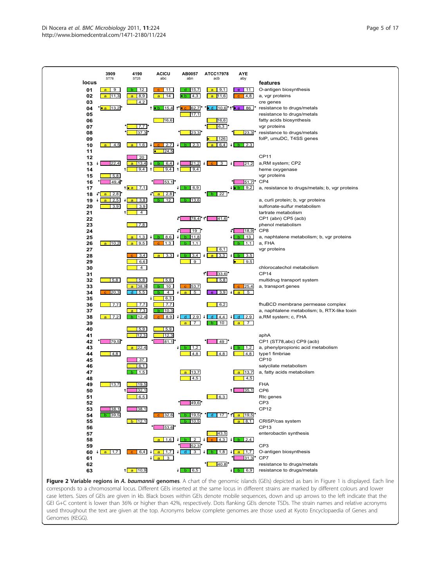<span id="page-4-0"></span>

Figure 2 Variable regions in A. baumannii genomes. A chart of the genomic islands (GEIs) depicted as bars in Figure 1 is displayed. Each line corresponds to a chromosomal locus. Different GEIs inserted at the same locus in different strains are marked by different colours and lower case letters. Sizes of GEIs are given in kb. Black boxes within GEIs denote mobile sequences, down and up arrows to the left indicate that the GEI G+C content is lower than 36% or higher than 42%, respectively. Dots flanking GEIs denote TSDs. The strain names and relative acronyms used throughout the text are given at the top. Acronyms below complete genomes are those used at Kyoto Encyclopaedia of Genes and Genomes (KEGG).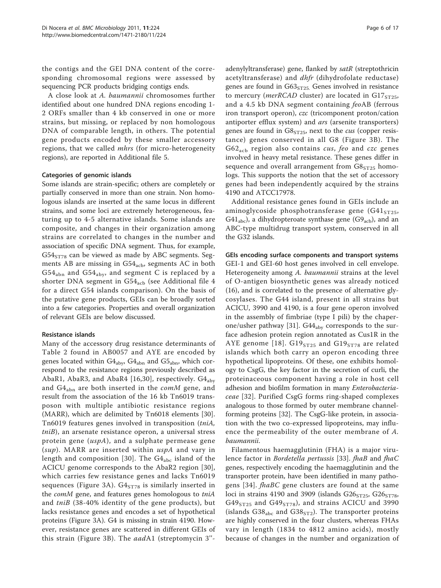the contigs and the GEI DNA content of the corresponding chromosomal regions were assessed by sequencing PCR products bridging contigs ends.

A close look at A. baumannii chromosomes further identified about one hundred DNA regions encoding 1- 2 ORFs smaller than 4 kb conserved in one or more strains, but missing, or replaced by non homologous DNA of comparable length, in others. The potential gene products encoded by these smaller accessory regions, that we called *mhrs* (for micro-heterogeneity regions), are reported in Additional file [5](#page-14-0).

### Categories of genomic islands

Some islands are strain-specific; others are completely or partially conserved in more than one strain. Non homologous islands are inserted at the same locus in different strains, and some loci are extremely heterogeneous, featuring up to 4-5 alternative islands. Some islands are composite, and changes in their organization among strains are correlated to changes in the number and association of specific DNA segment. Thus, for example,  $G54<sub>ST78</sub>$  can be viewed as made by ABC segments. Segments AB are missing in  $G54<sub>acb</sub>$ , segments AC in both  $G54<sub>abn</sub>$  and  $G54<sub>aby</sub>$ , and segment C is replaced by a shorter DNA segment in  $G54_{\rm ach}$  (see Additional file [4](#page-13-0) for a direct G54 islands comparison). On the basis of the putative gene products, GEIs can be broadly sorted into a few categories. Properties and overall organization of relevant GEIs are below discussed.

## Resistance islands

Many of the accessory drug resistance determinants of Table [2](#page-3-0) found in AB0057 and AYE are encoded by genes located within  $G4_{\text{aby}}$ ,  $G4_{\text{abn}}$  and  $G5_{\text{abn}}$ , which correspond to the resistance regions previously described as AbaR1, AbaR3, and AbaR4 [\[16,](#page-14-0)[30](#page-15-0)], respectively.  $G4_{\text{aby}}$ and  $G4_{abn}$  are both inserted in the *comM* gene, and result from the association of the 16 kb Tn6019 transposon with multiple antibiotic resistance regions (MARR), which are delimited by Tn6018 elements [\[30](#page-15-0)]. Tn6019 features genes involved in transposition (tniA, tniB), an arsenate resistance operon, a universal stress protein gene  $(uspA)$ , and a sulphate permease gene  $(sup)$ . MARR are inserted within  $uspA$  and vary in length and composition [[30](#page-15-0)]. The  $G4_{abc}$  island of the ACICU genome corresponds to the AbaR2 region [[30](#page-15-0)], which carries few resistance genes and lacks Tn6019 sequences (Figure [3A](#page-6-0)).  $G4<sub>ST78</sub>$  is similarly inserted in the *comM* gene, and features genes homologous to tniA and tniB (38-40% identity of the gene products), but lacks resistance genes and encodes a set of hypothetical proteins (Figure [3A](#page-6-0)). G4 is missing in strain 4190. However, resistance genes are scattered in different GEIs of this strain (Figure [3B\)](#page-6-0). The aadA1 (streptomycin 3''-

adenylyltransferase) gene, flanked by satR (streptothricin acetyltransferase) and dhfr (dihydrofolate reductase) genes are found in  $G63<sub>ST25</sub>$ . Genes involved in resistance to mercury (*merRCAD* cluster) are located in  $GI7<sub>ST25</sub>$ , and a 4.5 kb DNA segment containing feoAB (ferrous iron transport operon), czc (tricomponent proton/cation antiporter efflux system) and ars (arsenite transporters) genes are found in  $GS<sub>ST25</sub>$ , next to the *cus* (copper resistance) genes conserved in all G8 (Figure [3B\)](#page-6-0). The  $G62<sub>acb</sub>$  region also contains *cus*, *feo* and *czc* genes involved in heavy metal resistance. These genes differ in sequence and overall arrangement from  $G8<sub>ST25</sub>$  homologs. This supports the notion that the set of accessory genes had been independently acquired by the strains 4190 and ATCC17978.

Additional resistance genes found in GEIs include an aminoglycoside phosphotransferase gene  $(G41<sub>ST25</sub>)$  $G41_{abc}$ , a dihydropteroate synthase gene ( $G9_{acb}$ ), and an ABC-type multidrug transport system, conserved in all the G32 islands.

GEIs encoding surface components and transport systems GEI-1 and GEI-60 host genes involved in cell envelope. Heterogeneity among A. baumannii strains at the level of O-antigen biosynthetic genes was already noticed (16), and is correlated to the presence of alternative glycosylases. The G44 island, present in all strains but ACICU, 3990 and 4190, is a four gene operon involved in the assembly of fimbriae (type I pili) by the chaper-one/usher pathway [\[31](#page-15-0)].  $G44_{\text{aby}}$  corresponds to the surface adhesion protein region annotated as Cus1R in the AYE genome [[18](#page-14-0)].  $G19<sub>ST25</sub>$  and  $G19<sub>ST78</sub>$  are related islands which both carry an operon encoding three hypothetical lipoproteins. Of these, one exhibits homology to CsgG, the key factor in the secretion of curli, the proteinaceous component having a role in host cell adhesion and biofilm formation in many Enterobacteriaceae [[32\]](#page-15-0). Purified CsgG forms ring-shaped complexes analogous to those formed by outer membrane channelforming proteins [[32\]](#page-15-0). The CsgG-like protein, in association with the two co-expressed lipoproteins, may influence the permeability of the outer membrane of A. baumannii.

Filamentous haemagglutinin (FHA) is a major viru-lence factor in Bordetella pertussis [[33](#page-15-0)]. fhaB and fhaC genes, respectively encoding the haemagglutinin and the transporter protein, have been identified in many patho-gens [[34\]](#page-15-0). *fhaBC* gene clusters are found at the same loci in strains 4190 and 3909 (islands  $G26<sub>ST25</sub>$ ,  $G26<sub>ST78</sub>$ ,  $G49<sub>ST25</sub>$  and  $G49<sub>ST78</sub>$ ), and strains ACICU and 3990 (islands  $G38_{abc}$  and  $G38_{ST2}$ ). The transporter proteins are highly conserved in the four clusters, whereas FHAs vary in length (1834 to 4812 amino acids), mostly because of changes in the number and organization of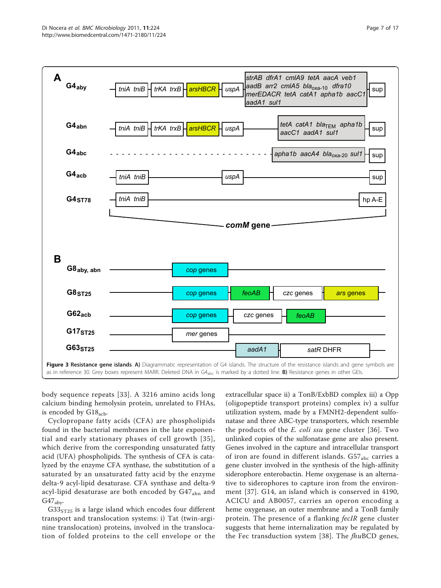<span id="page-6-0"></span>

body sequence repeats [[33](#page-15-0)]. A 3216 amino acids long calcium binding hemolysin protein, unrelated to FHAs, is encoded by  $G18_{\text{acb}}$ .

Cyclopropane fatty acids (CFA) are phospholipids found in the bacterial membranes in the late exponential and early stationary phases of cell growth [[35\]](#page-15-0), which derive from the corresponding unsaturated fatty acid (UFA) phospholipids. The synthesis of CFA is catalyzed by the enzyme CFA synthase, the substitution of a saturated by an unsaturated fatty acid by the enzyme delta-9 acyl-lipid desaturase. CFA synthase and delta-9 acyl-lipid desaturase are both encoded by G47<sub>abn</sub> and  $G47_{\text{ab}}$ 

 $G33<sub>ST25</sub>$  is a large island which encodes four different transport and translocation systems: i) Tat (twin-arginine translocation) proteins, involved in the translocation of folded proteins to the cell envelope or the extracellular space ii) a TonB/ExbBD complex iii) a Opp (oligopeptide transport proteins) complex iv) a sulfur utilization system, made by a FMNH2-dependent sulfonatase and three ABC-type transporters, which resemble the products of the E. coli ssu gene cluster [[36](#page-15-0)]. Two unlinked copies of the sulfonatase gene are also present. Genes involved in the capture and intracellular transport of iron are found in different islands.  $G57<sub>abc</sub>$  carries a gene cluster involved in the synthesis of the high-affinity siderophore enterobactin. Heme oxygenase is an alternative to siderophores to capture iron from the environment [[37\]](#page-15-0). G14, an island which is conserved in 4190, ACICU and AB0057, carries an operon encoding a heme oxygenase, an outer membrane and a TonB family protein. The presence of a flanking fecIR gene cluster suggests that heme internalization may be regulated by the Fec transduction system [\[38\]](#page-15-0). The  $fhu\text{BCD}$  genes,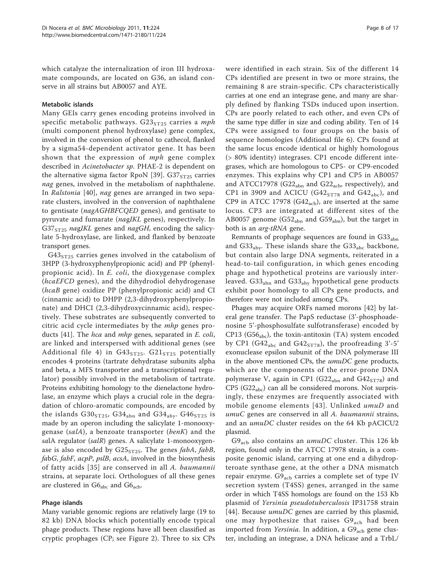which catalyze the internalization of iron III hydroxamate compounds, are located on G36, an island conserve in all strains but AB0057 and AYE.

## Metabolic islands

Many GEIs carry genes encoding proteins involved in specific metabolic pathways.  $G23<sub>ST25</sub>$  carries a mph (multi component phenol hydroxylase) gene complex, involved in the conversion of phenol to cathecol, flanked by a sigma54-dependent activator gene. It has been shown that the expression of *mph* gene complex described in Acinetobacter sp. PHAE-2 is dependent on the alternative sigma factor RpoN [[39\]](#page-15-0). G37 $_{ST25}$  carries nag genes, involved in the metabolism of naphthalene. In Ralstonia [[40\]](#page-15-0), nag genes are arranged in two separate clusters, involved in the conversion of naphthalene to gentisate (nagAGHBFCQED genes), and gentisate to pyruvate and fumarate (nagIKL genes), respectively. In  $G37<sub>ST25</sub>$  nagIKL genes and nagGH, encoding the salicylate 5-hydroxylase, are linked, and flanked by benzoate transport genes.

 $G43<sub>ST25</sub>$  carries genes involved in the catabolism of 3HPP (3-hydroxyphenylpropionic acid) and PP (phenylpropionic acid). In E. coli, the dioxygenase complex (hcaEFCD genes), and the dihydrodiol dehydrogenase (hcaB gene) oxidize PP (phenylpropionic acid) and CI (cinnamic acid) to DHPP (2,3-dihydroxyphenylpropionate) and DHCI (2,3-dihydroxycinnamic acid), respectively. These substrates are subsequently converted to citric acid cycle intermediates by the mhp genes pro-ducts [\[41](#page-15-0)]. The *hca* and *mhp* genes, separated in *E. coli*, are linked and interspersed with additional genes (see Additional file [4](#page-13-0)) in  $G43<sub>ST25</sub>$ .  $G21<sub>ST25</sub>$  potentially encodes 4 proteins (tartrate dehydratase subunits alpha and beta, a MFS transporter and a transcriptional regulator) possibly involved in the metabolism of tartrate. Proteins exhibiting homology to the dienelactone hydrolase, an enzyme which plays a crucial role in the degradation of chloro-aromatic compounds, are encoded by the islands  $G30<sub>ST25</sub>$ ,  $G34<sub>abn</sub>$  and  $G34<sub>aby</sub>$ .  $G46<sub>ST25</sub>$  is made by an operon including the salicylate 1-monooxygenase (salA), a benzoate transporter (benK) and the salA regulator (salR) genes. A salicylate 1-monooxygenase is also encoded by  $G25<sub>ST25</sub>$ . The genes fabA, fabB, fabG, fabF, acpP, pslB, acsA, involved in the biosynthesis of fatty acids [\[35\]](#page-15-0) are conserved in all A. baumannii strains, at separate loci. Orthologues of all these genes are clustered in  $G6_{abc}$  and  $G6_{acb}$ .

## Phage islands

Many variable genomic regions are relatively large (19 to 82 kb) DNA blocks which potentially encode typical phage products. These regions have all been classified as cryptic prophages (CP; see Figure [2](#page-4-0)). Three to six CPs were identified in each strain. Six of the different 14 CPs identified are present in two or more strains, the remaining 8 are strain-specific. CPs characteristically carries at one end an integrase gene, and many are sharply defined by flanking TSDs induced upon insertion. CPs are poorly related to each other, and even CPs of the same type differ in size and coding ability. Ten of 14 CPs were assigned to four groups on the basis of sequence homologies (Additional file [6](#page-14-0)). CPs found at the same locus encode identical or highly homologous (> 80% identity) integrases. CP1 encode different integrases, which are homologous to CP5- or CP9-encoded enzymes. This explains why CP1 and CP5 in AB0057 and ATCC17978 (G22 $_{abn}$  and G22 $_{acb}$ , respectively), and CP1 in 3909 and ACICU (G42 $_{ST78}$  and G42 $_{abc}$ ), and CP9 in ATCC 17978  $(G42<sub>ach</sub>)$ , are inserted at the same locus. CP3 are integrated at different sites of the AB0057 genome (G52<sub>abn</sub> and G59<sub>abn</sub>), but the target in both is an arg-tRNA gene.

Remnants of prophage sequences are found in  $G33<sub>abn</sub>$ and  $G33_{\text{aby}}$ . These islands share the  $G33_{\text{abc}}$  backbone, but contain also large DNA segments, reiterated in a head-to-tail configuration, in which genes encoding phage and hypothetical proteins are variously interleaved.  $G33_{abn}$  and  $G33_{aby}$  hypothetical gene products exhibit poor homology to all CPs gene products, and therefore were not included among CPs.

Phages may acquire ORFs named morons [[42](#page-15-0)] by lateral gene transfer. The PapS reductase (3'-phosphoadenosine 5'-phosphosulfate sulfotransferase) encoded by CP13 (G56<sub>abc</sub>), the toxin-antitoxin (TA) system encoded by CP1 (G42<sub>abc</sub> and G42<sub>ST78</sub>), the proofreading 3'-5' exonuclease epsilon subunit of the DNA polymerase III in the above mentioned CPs, the  $umuDC$  gene products, which are the components of the error-prone DNA polymerase V, again in CP1 (G22<sub>abn</sub> and G42<sub>ST78</sub>) and CP5 ( $G22<sub>abc</sub>$ ) can all be considered morons. Not surprisingly, these enzymes are frequently associated with mobile genome elements [[43](#page-15-0)]. Unlinked umuD and umuC genes are conserved in all A. baumannii strains, and an umuDC cluster resides on the 64 Kb pACICU2 plasmid.

 $G9<sub>acb</sub>$  also contains an umuDC cluster. This 126 kb region, found only in the ATCC 17978 strain, is a composite genomic island, carrying at one end a dihydropteroate synthase gene, at the other a DNA mismatch repair enzyme.  $G9_{acb}$  carries a complete set of type IV secretion system (T4SS) genes, arranged in the same order in which T4SS homologs are found on the 153 Kb plasmid of Yersinia pseudotuberculosis IP31758 strain [[44\]](#page-15-0). Because umuDC genes are carried by this plasmid, one may hypothesize that raises  $G9_{\text{acb}}$  had been imported from Yersinia. In addition, a G9<sub>acb</sub> gene cluster, including an integrase, a DNA helicase and a TrbL/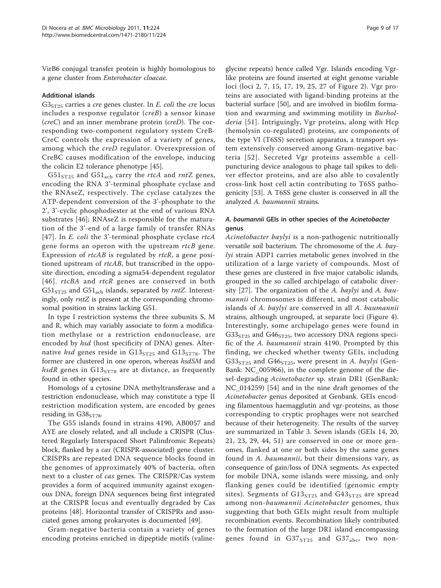VirB6 conjugal transfer protein is highly homologous to a gene cluster from Enterobacter cloacae.

## Additional islands

 $G3<sub>ST25</sub>$  carries a *cre* genes cluster. In *E. coli* the *cre* locus includes a response regulator (creB) a sensor kinase  $(creC)$  and an inner membrane protein  $(creD)$ . The corresponding two-component regulatory system CreB-CreC controls the expression of a variety of genes, among which the creD regulator. Overexpression of CreBC causes modification of the envelope, inducing the colicin E2 tolerance phenotype [[45\]](#page-15-0).

 $G51<sub>ST25</sub>$  and  $G51<sub>acb</sub>$  carry the *rtcA* and *rntZ* genes, encoding the RNA 3'-terminal phosphate cyclase and the RNAseZ, respectively. The cyclase catalyzes the ATP-dependent conversion of the 3'-phosphate to the 2', 3'-cyclic phosphodiester at the end of various RNA substrates [\[46\]](#page-15-0); RNAseZ is responsible for the maturation of the 3'-end of a large family of transfer RNAs [[47](#page-15-0)]. In *E. coli* the 3'-terminal phosphate cyclase rtcA gene forms an operon with the upstream rtcB gene. Expression of *rtcAB* is regulated by *rtcR*, a gene positioned upstream of *rtcAB*, but transcribed in the opposite direction, encoding a sigma54-dependent regulator [[46](#page-15-0)]. *rtcBA* and *rtcR* genes are conserved in both  $G51<sub>ST25</sub>$  and  $G51<sub>acb</sub>$  islands, separated by rntZ. Interestingly, only  $rntZ$  is present at the corresponding chromosomal position in strains lacking G51.

In type I restriction systems the three subunits S, M and R, which may variably associate to form a modification methylase or a restriction endonuclease, are encoded by *hsd* (host specificity of DNA) genes. Alternative hsd genes reside in  $G13<sub>ST25</sub>$  and  $G13<sub>ST78</sub>$ . The former are clustered in one operon, whereas hsdSM and hsdR genes in  $G13<sub>ST78</sub>$  are at distance, as frequently found in other species.

Homologs of a cytosine DNA methyltransferase and a restriction endonuclease, which may constitute a type II restriction modification system, are encoded by genes residing in  $G38<sub>ST78</sub>$ .

The G55 islands found in strains 4190, AB0057 and AYE are closely related, and all include a CRISPR (Clustered Regularly Interspaced Short Palindromic Repeats) block, flanked by a cas (CRISPR-associated) gene cluster. CRISPRs are repeated DNA sequence blocks found in the genomes of approximately 40% of bacteria, often next to a cluster of cas genes. The CRISPR/Cas system provides a form of acquired immunity against exogenous DNA, foreign DNA sequences being first integrated at the CRISPR locus and eventually degraded by Cas proteins [\[48](#page-15-0)]. Horizontal transfer of CRISPRs and associated genes among prokaryotes is documented [\[49\]](#page-15-0).

Gram-negative bacteria contain a variety of genes encoding proteins enriched in dipeptide motifs (valine-

glycine repeats) hence called Vgr. Islands encoding Vgrlike proteins are found inserted at eight genome variable loci (loci 2, 7, 15, 17, 19, 25, 27 of Figure [2](#page-4-0)). Vgr proteins are associated with ligand-binding proteins at the bacterial surface [[50](#page-15-0)], and are involved in biofilm formation and swarming and swimming motility in Burholderia [[51](#page-15-0)]. Intriguingly, Vgr proteins, along with Hcp (hemolysin co-regulated) proteins, are components of the type VI (T6SS) secretion apparatus, a transport system extensively conserved among Gram-negative bacteria [[52\]](#page-15-0). Secreted Vgr proteins assemble a cellpuncturing device analogous to phage tail spikes to deliver effector proteins, and are also able to covalently cross-link host cell actin contributing to T6SS pathogenicity [[53](#page-15-0)]. A T6SS gene cluster is conserved in all the analyzed A. baumannii strains.

## A. baumannii GEIs in other species of the Acinetobacter genus

Acinetobacter baylyi is a non-pathogenic nutritionally versatile soil bacterium. The chromosome of the A. baylyi strain ADP1 carries metabolic genes involved in the utilization of a large variety of compounds. Most of these genes are clustered in five major catabolic islands, grouped in the so called archipelago of catabolic diversity  $[27]$  $[27]$ . The organization of the A. baylyi and A. baumannii chromosomes is different, and most catabolic islands of A. baylyi are conserved in all A. baumannii strains, although ungrouped, at separate loci (Figure [4](#page-9-0)). Interestingly, some archipelago genes were found in  $G33<sub>ST25</sub>$  and  $G46<sub>ST25</sub>$ , two accessory DNA regions specific of the A. baumannii strain 4190. Prompted by this finding, we checked whether twenty GEIs, including  $G33<sub>ST25</sub>$  and  $G46<sub>ST25</sub>$ , were present in A. baylyi (Gen-Bank: [NC\\_005966](http://www.ncbi.nih.gov/entrez/query.fcgi?db=Nucleotide&cmd=search&term=NC_005966)), in the complete genome of the diesel-degrading Acinetobacter sp. strain DR1 (GenBank: [NC\\_014259](http://www.ncbi.nih.gov/entrez/query.fcgi?db=Nucleotide&cmd=search&term=NC_014259)) [\[54](#page-15-0)] and in the nine draft genomes of the Acinetobacter genus deposited at Genbank. GEIs encoding filamentous haemagglutin and vgr-proteins, as those corresponding to cryptic prophages were not searched because of their heterogeneity. The results of the survey are summarized in Table [3.](#page-10-0) Seven islands (GEIs 14, 20, 21, 23, 29, 44, 51) are conserved in one or more genomes, flanked at one or both sides by the same genes found in A. baumannii, but their dimensions vary, as consequence of gain/loss of DNA segments. As expected for mobile DNA, some islands were missing, and only flanking genes could be identified (genomic empty sites). Segments of  $G13<sub>ST25</sub>$  and  $G43<sub>ST25</sub>$  are spread among non-baumannii Acinetobacter genomes, thus suggesting that both GEIs might result from multiple recombination events. Recombination likely contributed to the formation of the large DR1 island encompassing genes found in  $G37<sub>ST25</sub>$  and  $G37<sub>abc</sub>$ , two non-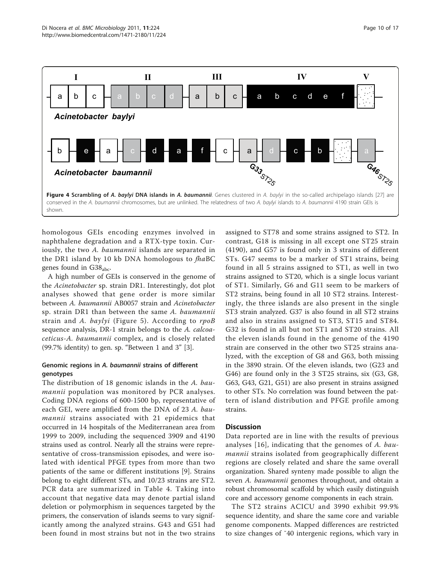<span id="page-9-0"></span>

homologous GEIs encoding enzymes involved in naphthalene degradation and a RTX-type toxin. Curiously, the two A. baumannii islands are separated in the DR1 island by 10 kb DNA homologous to fhaBC genes found in  $G38_{abc}$ .

A high number of GEIs is conserved in the genome of the Acinetobacter sp. strain DR1. Interestingly, dot plot analyses showed that gene order is more similar between A. baumannii AB0057 strain and Acinetobacter sp. strain DR1 than between the same A. baumannii strain and A. baylyi (Figure [5\)](#page-11-0). According to rpoB sequence analysis, DR-1 strain belongs to the A. calcoaceticus-A. baumannii complex, and is closely related (99.7% identity) to gen. sp. "Between 1 and 3" [[3\]](#page-14-0).

## Genomic regions in A. baumannii strains of different genotypes

The distribution of 18 genomic islands in the A. baumannii population was monitored by PCR analyses. Coding DNA regions of 600-1500 bp, representative of each GEI, were amplified from the DNA of 23 A. baumannii strains associated with 21 epidemics that occurred in 14 hospitals of the Mediterranean area from 1999 to 2009, including the sequenced 3909 and 4190 strains used as control. Nearly all the strains were representative of cross-transmission episodes, and were isolated with identical PFGE types from more than two patients of the same or different institutions [\[9](#page-14-0)]. Strains belong to eight different STs, and 10/23 strains are ST2. PCR data are summarized in Table [4](#page-12-0). Taking into account that negative data may denote partial island deletion or polymorphism in sequences targeted by the primers, the conservation of islands seems to vary significantly among the analyzed strains. G43 and G51 had been found in most strains but not in the two strains

assigned to ST78 and some strains assigned to ST2. In contrast, G18 is missing in all except one ST25 strain (4190), and G57 is found only in 3 strains of different STs. G47 seems to be a marker of ST1 strains, being found in all 5 strains assigned to ST1, as well in two strains assigned to ST20, which is a single locus variant of ST1. Similarly, G6 and G11 seem to be markers of ST2 strains, being found in all 10 ST2 strains. Interestingly, the three islands are also present in the single ST3 strain analyzed. G37 is also found in all ST2 strains and also in strains assigned to ST3, ST15 and ST84. G32 is found in all but not ST1 and ST20 strains. All the eleven islands found in the genome of the 4190 strain are conserved in the other two ST25 strains analyzed, with the exception of G8 and G63, both missing in the 3890 strain. Of the eleven islands, two (G23 and G46) are found only in the 3 ST25 strains, six (G3, G8, G63, G43, G21, G51) are also present in strains assigned to other STs. No correlation was found between the pattern of island distribution and PFGE profile among strains.

## **Discussion**

Data reported are in line with the results of previous analyses [[16\]](#page-14-0), indicating that the genomes of A. baumannii strains isolated from geographically different regions are closely related and share the same overall organization. Shared synteny made possible to align the seven A. baumannii genomes throughout, and obtain a robust chromosomal scaffold by which easily distinguish core and accessory genome components in each strain.

The ST2 strains ACICU and 3990 exhibit 99.9% sequence identity, and share the same core and variable genome components. Mapped differences are restricted to size changes of ˜40 intergenic regions, which vary in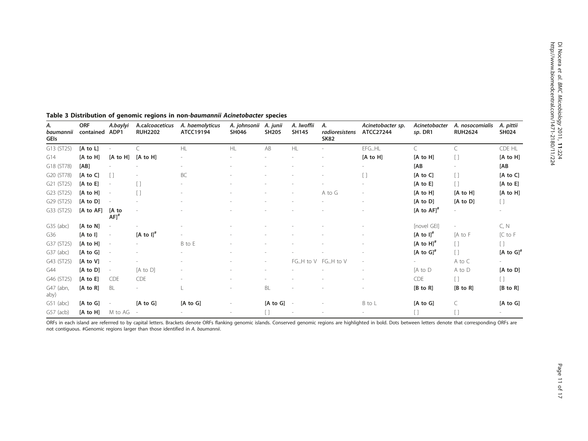| А.<br>baumannii<br>GEIs | <b>ORF</b><br>contained ADP1 | A.baylyi                 | A.calcoaceticus<br><b>RUH2202</b> | A. haemolyticus<br>ATCC19194 | A. johnsonii A. junii<br>SH046 | SH205               | A. Iwoffii<br><b>SH145</b> | А.<br>radioresistens<br><b>SK82</b> | Acinetobacter sp.<br>ATCC27244 | Acinetobacter<br>sp. DR1 | A. nosocomialis<br><b>RUH2624</b>      | A. pittii<br>SH024                     |
|-------------------------|------------------------------|--------------------------|-----------------------------------|------------------------------|--------------------------------|---------------------|----------------------------|-------------------------------------|--------------------------------|--------------------------|----------------------------------------|----------------------------------------|
| G13 (ST25)              | [A to L]                     |                          |                                   | <b>HL</b>                    | HL                             | AB                  | HL                         |                                     | EFGHL                          | $\mathsf{C}$             |                                        | CDE HL                                 |
| G14                     | $[A \text{ to } H]$          | $[A \text{ to } H]$      | $[A \text{ to } H]$               |                              |                                |                     |                            |                                     | [A to H]                       | [A to H]                 | I I                                    | $[A \text{ to } H]$                    |
| G18 (ST78)              | [AB]                         |                          |                                   |                              |                                |                     |                            |                                     |                                | [AB                      |                                        | [AB                                    |
| G20 (ST78)              | [A to C]                     | $\Box$                   |                                   | <b>BC</b>                    |                                |                     |                            |                                     |                                | $[A \text{ to } C]$      | I)                                     | $[A \text{ to } C]$                    |
| G21 (ST25)              | $[A \text{ to } E]$          |                          |                                   |                              |                                |                     |                            |                                     |                                | $[A \text{ to } E]$      | $[ \ ]$                                | $[A \text{ to } E]$                    |
| G23 (ST25)              | [A to H]                     | ٠                        | $\Box$                            |                              |                                |                     |                            | A to G                              |                                | [A to H]                 | $[A \text{ to } H]$                    | [A to H]                               |
| G29 (ST25)              | $[A \text{ to } D]$          |                          |                                   |                              |                                |                     |                            |                                     |                                | $[A \text{ to } D]$      | $[A \text{ to } D]$                    | $\begin{array}{c} \square \end{array}$ |
| G33 (ST25)              | $[A \text{ to } AF]$         | [A to<br>AFJ''           |                                   |                              |                                |                     |                            |                                     |                                | $[A \text{ to } AF]^*$   |                                        |                                        |
| G35 (abc)               | $[A \text{ to } N]$          |                          |                                   |                              |                                |                     |                            |                                     |                                | [novel GEI]              |                                        | C, N                                   |
| G36                     | $[A \text{ to } I]$          | $\overline{\phantom{a}}$ | $[A \text{ to } I]^{\#}$          |                              |                                |                     |                            |                                     |                                | [A to $I$ ] <sup>#</sup> | [A to F                                | $[C \text{ to } F]$                    |
| G37 (ST25)              | $[A \text{ to } H]$          |                          |                                   | B to E                       |                                |                     |                            |                                     |                                | $[A \text{ to } H]^*$    | $\begin{array}{c} \square \end{array}$ | $\begin{array}{c} \square \end{array}$ |
| G37 (abc)               | $[A \text{ to } G]$          |                          |                                   |                              |                                |                     |                            |                                     |                                | [A to $GI^*$             | $\begin{bmatrix} 1 \end{bmatrix}$      | [A to $GI^*$                           |
| G43 (ST25)              | [A to V]                     |                          |                                   |                              |                                |                     |                            | FGH to V FGH to V                   |                                |                          | A to C                                 | $\sim$                                 |
| G44                     | $[A \text{ to } D]$          |                          | $[A \text{ to } D]$               |                              |                                |                     |                            |                                     |                                | [A to D                  | A to D                                 | [A to D]                               |
| G46 (ST25)              | $[A \text{ to } E]$          | <b>CDE</b>               | <b>CDE</b>                        |                              |                                |                     |                            |                                     |                                | <b>CDE</b>               | E.                                     | ſ1.                                    |
| G47 (abn,<br>aby)       | $[A \text{ to } R]$          | <b>BL</b>                |                                   |                              |                                | BL                  |                            |                                     |                                | $[B \text{ to } R]$      | $[B \text{ to } R]$                    | $[B \text{ to } R]$                    |
| $G51$ (abc)             | $[A \text{ to } G]$          |                          | $[A \text{ to } G]$               | $[A \text{ to } G]$          |                                | $[A \text{ to } G]$ |                            |                                     | B to L                         | $[A \text{ to } G]$      | C                                      | $[A \text{ to } G]$                    |
| G57 (acb)               | $[A \text{ to } H]$          | M to AG                  |                                   |                              |                                | E)                  |                            |                                     |                                |                          | []                                     |                                        |

## <span id="page-10-0"></span>Table 3 Distribution of genomic regions in non-baumannii Acinetobacter species

ORFs in each island are referrred to by capital letters. Brackets denote ORFs flanking genomic islands. Conserved genomic regions are highlighted in bold. Dots between letters denote that corresponding ORFs are not contiguous. #Genomic regions larger than those identified in A. baumannii.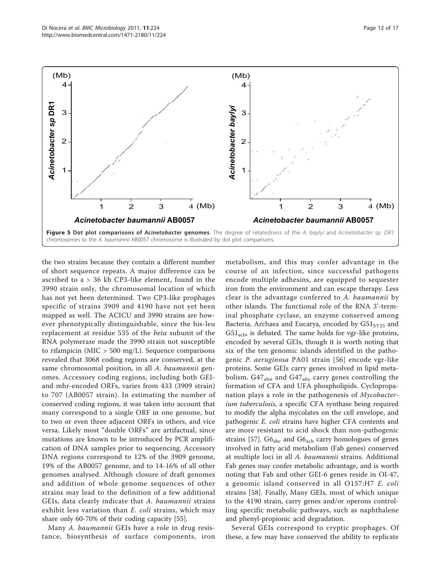<span id="page-11-0"></span>

the two strains because they contain a different number of short sequence repeats. A major difference can be ascribed to a > 36 kb CP3-like element, found in the 3990 strain only, the chromosomal location of which has not yet been determined. Two CP3-like prophages specific of strains 3909 and 4190 have not yet been mapped as well. The ACICU and 3990 strains are however phenotypically distinguishable, since the his-leu replacement at residue 535 of the beta subunit of the RNA polymerase made the 3990 strain not susceptible to rifampicin ( $MIC > 500$  mg/L). Sequence comparisons revealed that 3068 coding regions are conserved, at the same chromosomal position, in all A. baumannii genomes. Accessory coding regions, including both GEIand mhr-encoded ORFs, varies from 433 (3909 strain) to 707 (AB0057 strain). In estimating the number of conserved coding regions, it was taken into account that many correspond to a single ORF in one genome, but to two or even three adjacent ORFs in others, and vice versa. Likely most "double ORFs" are artifactual, since mutations are known to be introduced by PCR amplification of DNA samples prior to sequencing. Accessory DNA regions correspond to 12% of the 3909 genome, 19% of the AB0057 genome, and to 14-16% of all other genomes analysed. Although closure of draft genomes and addition of whole genome sequences of other strains may lead to the definition of a few additional GEIs, data clearly indicate that A. baumannii strains exhibit less variation than *E. coli* strains, which may share only 60-70% of their coding capacity [\[55](#page-15-0)].

Many A. baumannii GEIs have a role in drug resistance, biosynthesis of surface components, iron

metabolism, and this may confer advantage in the course of an infection, since successful pathogens encode multiple adhesins, are equipped to sequester iron from the environment and can escape therapy. Less clear is the advantage conferred to A. baumannii by other islands. The functional role of the RNA 3'-terminal phosphate cyclase, an enzyme conserved among Bacteria, Archaea and Eucarya, encoded by  $G51<sub>ST25</sub>$  and  $G51_{\text{acb}}$ , is debated. The same holds for vgr-like proteins, encoded by several GEIs, though it is worth noting that six of the ten genomic islands identified in the pathogenic P. aeruginosa PA01 strain [[56\]](#page-15-0) encode vgr-like proteins. Some GEIs carry genes involved in lipid metabolism.  $G47_{abn}$  and  $G47_{abv}$  carry genes controlling the formation of CFA and UFA phospholipids. Cyclopropanation plays a role in the pathogenesis of Mycobacterium tuberculosis, a specific CFA synthase being required to modify the alpha mycolates on the cell envelope, and pathogenic E. coli strains have higher CFA contents and are more resistant to acid shock than non-pathogenic strains [\[57](#page-15-0)].  $G6_{abc}$  and  $G6_{acb}$  carry homologues of genes involved in fatty acid metabolism (Fab genes) conserved at multiple loci in all A. baumannii strains. Additional Fab genes may confer metabolic advantage, and is worth noting that Fab and other GEI-6 genes reside in OI-47, a genomic island conserved in all O157:H7 E. coli strains [\[58](#page-15-0)]. Finally, Many GEIs, most of which unique to the 4190 strain, carry genes and/or operons controlling specific metabolic pathways, such as naphthalene and phenyl-propionic acid degradation.

Several GEIs correspond to cryptic prophages. Of these, a few may have conserved the ability to replicate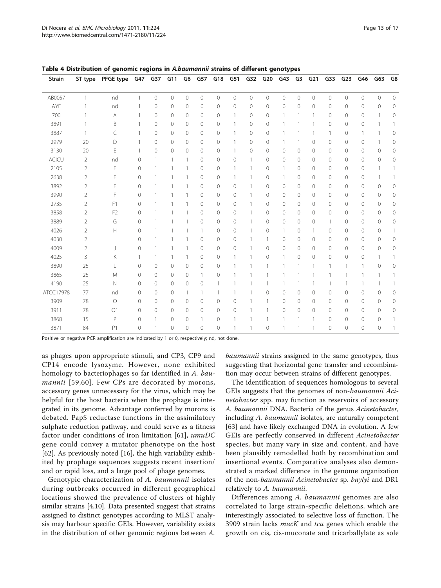| <b>Strain</b> | ST type        | PFGE type      | G47          | G37     | G11            | G6             | G57            | G18            | G51            | G32            | G20            | G43            | G <sub>3</sub> | G <sub>21</sub> | G33            | G <sub>23</sub> | G46            | G63            | G8             |
|---------------|----------------|----------------|--------------|---------|----------------|----------------|----------------|----------------|----------------|----------------|----------------|----------------|----------------|-----------------|----------------|-----------------|----------------|----------------|----------------|
|               |                |                |              |         |                |                |                |                |                |                |                |                |                |                 |                |                 |                |                |                |
| AB0057        | $\mathbf{1}$   | nd             | $\mathbf{1}$ | 0       | $\overline{0}$ | $\overline{0}$ | $\overline{O}$ | $\overline{0}$ | $\overline{0}$ | $\overline{0}$ | $\overline{0}$ | $\overline{0}$ | $\overline{0}$ | $\overline{0}$  | $\overline{0}$ | $\overline{0}$  | $\overline{0}$ | $\overline{0}$ | $\overline{0}$ |
| AYE           |                | nd             |              | 0       | 0              | 0              | 0              | 0              | 0              | $\mathcal{O}$  | 0              | $\circ$        | 0              | 0               | $\mathbf{0}$   | 0               | 0              | 0              | $\circ$        |
| 700           |                | A              | 1            | 0       | 0              | 0              | 0              | 0              | $\mathbf{1}$   | 0              | $\mathbf{0}$   | $\overline{1}$ |                |                 | 0              | 0               | 0              | $\mathbf{1}$   | $\mathbf{0}$   |
| 3891          |                | B              | 1            | 0       | 0              | $\circ$        | 0              | 0              | 1              | 0              | 0              |                |                |                 | 0              | $\mathbf{0}$    | 0              |                |                |
| 3887          | 1              | C              | 1            | 0       | 0              | 0              | 0              | 0              | $\mathbf{1}$   | 0              | $\mathbf{0}$   |                |                |                 | 1              | 0               | $\mathbf{1}$   | 1              | $\circ$        |
| 2979          | 20             | D              |              | 0       | 0              | 0              | $\mathbf 0$    | $\overline{0}$ |                | $\circ$        | $\mathbf{0}$   |                |                | 0               | $\mathbf 0$    | $\circ$         | 0              |                | $\circ$        |
| 3130          | 20             | E              | 1            | 0       | 0              | 0              | 0              | 0              | 1              | 0              | $\mathbf{0}$   | $\circ$        | 0              | 0               | 0              | 0               | 0              | 0              | 0              |
| <b>ACICU</b>  | 2              | nd             | $\mathbf{0}$ |         | 1              | 1              | 0              | 0              | $\circ$        |                | $\mathbf{0}$   | $\mathbf{0}$   | 0              | 0               | 0              | $\mathbf{0}$    | 0              | $\mathbf 0$    | $\circ$        |
| 2105          | $\overline{2}$ | F              | $\circ$      |         | 1              | 1              | 0              | $\overline{0}$ | 1              |                | 0              | 1              | 0              | 0               | 0              | $\circ$         | 0              | 1              |                |
| 2638          | $\overline{2}$ | F              | $\circ$      |         | 1              | $\mathbf{1}$   | $\mathbf 0$    | 0              | 1              |                | $\mathbf{0}$   | $\mathbf{1}$   | 0              | 0               | 0              | $\circ$         | 0              | $\overline{1}$ |                |
| 3892          | $\overline{2}$ | F              | $\mathbf{0}$ |         |                | $\mathbf{1}$   | $\overline{0}$ | $\overline{0}$ | $\circ$        |                | $\mathbf{0}$   | $\circ$        | $\mathbf 0$    | 0               | $\mathbf 0$    | $\circ$         | $\mathbf 0$    | $\circ$        | $\circ$        |
| 3990          | $\overline{2}$ | F              | $\mathbf{0}$ |         | 1              | $\mathbf{1}$   | 0              | $\overline{0}$ | $\circ$        |                | $\mathbf{0}$   | $\circ$        | $\overline{0}$ | 0               | 0              | $\mathbf 0$     | 0              | $\circ$        | 0              |
| 2735          | $\overline{2}$ | F1             | $\circ$      |         | 1              | $\mathbf{1}$   | 0              | 0              | $\circ$        |                | $\mathbf{0}$   | $\circ$        | 0              | 0               | 0              | 0               | 0              | 0              | $\circ$        |
| 3858          | $\overline{2}$ | F <sub>2</sub> | $\circ$      |         | 1              | 1              | $\mathbf 0$    | $\overline{0}$ | $\circ$        |                | $\mathbf{0}$   | $\circ$        | 0              | $\mathbf 0$     | $\mathbf 0$    | $\mathbf 0$     | $\mathbf 0$    | $\circ$        | $\circ$        |
| 3889          | 2              | G              | 0            |         |                | 1              | 0              | $\overline{0}$ | $\circ$        |                | $\mathbf{0}$   | $\circ$        | $\overline{0}$ | 0               | 1              | $\mathbf{0}$    | 0              | $\mathbf 0$    | $\circ$        |
| 4026          | $\overline{2}$ | H              | 0            |         | 1              |                | 1              | 0              | 0              |                | 0              | $\overline{1}$ | 0              |                 | 0              | 0               | 0              | 0              |                |
| 4030          | $\overline{2}$ |                | 0            |         | 1              | 1              | $\mathbf 0$    | 0              | 0              |                | 1              | $\circ$        | 0              | 0               | $\mathbf 0$    | 0               | 0              | 0              | $\circ$        |
| 4009          | $\overline{2}$ |                | $\circ$      |         | 1              | $\mathbf{1}$   | $\mathbf 0$    | 0              | $\circ$        |                | $\mathbf 0$    | $\circ$        | 0              | 0               | $\mathbf 0$    | $\circ$         | $\mathbf 0$    | $\circ$        | $\circ$        |
| 4025          | 3              | Κ              | 1            |         | 1              | $\mathbf{1}$   | 0              | 0              | $\mathbf{1}$   |                | 0              |                | 0              | 0               | 0              | $\mathbf{0}$    | 0              | 1              |                |
| 3890          | 25             |                | $\circ$      | 0       | 0              | 0              | 0              | 0              |                |                |                |                |                |                 |                |                 | 1              | 0              | 0              |
| 3865          | 25             | M              | $\circ$      | 0       | 0              | 0              | $\mathbf{1}$   | 0              |                |                |                |                |                |                 |                |                 |                |                |                |
| 4190          | 25             | N              | $\mathbf{0}$ | $\circ$ | 0              | $\circledcirc$ | 0              |                |                |                |                |                |                |                 |                |                 | 1              | 1              |                |
| ATCC17978     | 77             | nd             | $\mathbf{0}$ | $\circ$ | 0              | 1              | -1             |                | 1              |                | 0              | $\mathbf{0}$   | 0              | 0               | 0              | $\mathbf{0}$    | 0              | 0              | $\circ$        |
| 3909          | 78             | $\circ$        | $\circ$      | 0       | 0              | 0              | 0              | 0              | $\circ$        |                | 1              | $\circ$        | 0              | 0               | 0              | $\circ$         | 0              | 0              | $\circ$        |
| 3911          | 78             | O1             | $\circ$      | 0       | $\circ$        | $\circledcirc$ | $\mathbf{0}$   | $\mathbf{0}$   | $\mathbf{0}$   |                | $\mathbf{1}$   | $\circ$        | 0              | 0               | $\mathbf 0$    | $\circ$         | $\mathbf{0}$   | $\circ$        | $\circ$        |
| 3868          | 15             | P              | $\circ$      |         | 0              | 0              | 1              | 0              | $\mathbf{1}$   |                | $\mathbf{1}$   |                |                |                 | 0              | $\mathbf{0}$    | 0              | 0              |                |
| 3871          | 84             | P1             | $\circ$      |         | $\mathbf 0$    | $\mathbf{0}$   | $\mathbf 0$    | 0              | 1              |                | $\mathbf{0}$   | 1              |                |                 | $\mathbf 0$    | $\mathbf 0$     | $\mathbf{0}$   | $\circ$        | 1              |

<span id="page-12-0"></span>Table 4 Distribution of genomic regions in A.baumannii strains of different genotypes

Positive or negative PCR amplification are indicated by 1 or 0, respectively; nd, not done.

as phages upon appropriate stimuli, and CP3, CP9 and CP14 encode lysozyme. However, none exhibited homology to bacteriophages so far identified in A. bau-mannii [[59](#page-15-0),[60\]](#page-15-0). Few CPs are decorated by morons, accessory genes unnecessary for the virus, which may be helpful for the host bacteria when the prophage is integrated in its genome. Advantage conferred by morons is debated. PapS reductase functions in the assimilatory sulphate reduction pathway, and could serve as a fitness factor under conditions of iron limitation [[61\]](#page-15-0), umuDC gene could convey a mutator phenotype on the host [[62\]](#page-15-0). As previously noted [\[16](#page-14-0)], the high variability exhibited by prophage sequences suggests recent insertion/ and or rapid loss, and a large pool of phage genomes.

Genotypic characterization of A. baumannii isolates during outbreaks occurred in different geographical locations showed the prevalence of clusters of highly similar strains [[4,10\]](#page-14-0). Data presented suggest that strains assigned to distinct genotypes according to MLST analysis may harbour specific GEIs. However, variability exists in the distribution of other genomic regions between A. baumannii strains assigned to the same genotypes, thus suggesting that horizontal gene transfer and recombination may occur between strains of different genotypes.

The identification of sequences homologous to several GEIs suggests that the genomes of non-baumannii Acinetobacter spp. may function as reservoirs of accessory A. baumannii DNA. Bacteria of the genus Acinetobacter, including A. baumannii isolates, are naturally competent [[63\]](#page-15-0) and have likely exchanged DNA in evolution. A few GEIs are perfectly conserved in different Acinetobacter species, but many vary in size and content, and have been plausibly remodelled both by recombination and insertional events. Comparative analyses also demonstrated a marked difference in the genome organization of the non-baumannii Acinetobacter sp. baylyi and DR1 relatively to A. baumannii.

Differences among A. baumannii genomes are also correlated to large strain-specific deletions, which are interestingly associated to selective loss of function. The 3909 strain lacks mucK and tcu genes which enable the growth on cis, cis-muconate and tricarballylate as sole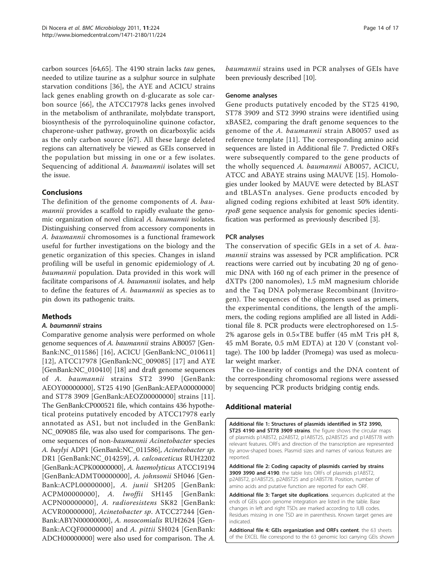<span id="page-13-0"></span>carbon sources [\[64,65](#page-15-0)]. The 4190 strain lacks tau genes, needed to utilize taurine as a sulphur source in sulphate starvation conditions [[36\]](#page-15-0), the AYE and ACICU strains lack genes enabling growth on d-glucarate as sole carbon source [[66](#page-15-0)], the ATCC17978 lacks genes involved in the metabolism of anthranilate, molybdate transport, biosynthesis of the pyrroloquinoline quinone cofactor, chaperone-usher pathway, growth on dicarboxylic acids as the only carbon source [[67](#page-16-0)]. All these large deleted regions can alternatively be viewed as GEIs conserved in the population but missing in one or a few isolates. Sequencing of additional A. baumannii isolates will set the issue.

## Conclusions

The definition of the genome components of A. baumannii provides a scaffold to rapidly evaluate the genomic organization of novel clinical A. baumannii isolates. Distinguishing conserved from accessory components in A. baumannii chromosomes is a functional framework useful for further investigations on the biology and the genetic organization of this species. Changes in island profiling will be useful in genomic epidemiology of A. baumannii population. Data provided in this work will facilitate comparisons of A. baumannii isolates, and help to define the features of A. baumannii as species as to pin down its pathogenic traits.

## Methods

## A. baumannii strains

Comparative genome analysis were performed on whole genome sequences of A. baumannii strains AB0057 [Gen-Bank[:NC\\_011586\]](http://www.ncbi.nih.gov/entrez/query.fcgi?db=Nucleotide&cmd=search&term=NC_011586) [[16\]](#page-14-0), ACICU [GenBank:[NC\\_010611](http://www.ncbi.nih.gov/entrez/query.fcgi?db=Nucleotide&cmd=search&term=NC_010611)] [[12](#page-14-0)], ATCC17978 [GenBank:[NC\\_009085](http://www.ncbi.nih.gov/entrez/query.fcgi?db=Nucleotide&cmd=search&term=NC_009085)] [[17](#page-14-0)] and AYE [GenBank:[NC\\_010410](http://www.ncbi.nih.gov/entrez/query.fcgi?db=Nucleotide&cmd=search&term=NC_010410)] [[18](#page-14-0)] and draft genome sequences of A. baumannii strains ST2 3990 [GenBank: [AEOY00000000](http://www.ncbi.nih.gov/entrez/query.fcgi?db=Nucleotide&cmd=search&term=AEOY00000000)], ST25 4190 [GenBank[:AEPA00000000](http://www.ncbi.nih.gov/entrez/query.fcgi?db=Nucleotide&cmd=search&term=AEPA00000000)] and ST78 3909 [GenBank[:AEOZ00000000\]](http://www.ncbi.nih.gov/entrez/query.fcgi?db=Nucleotide&cmd=search&term=AEOZ00000000) strains [[11](#page-14-0)]. The GenBank[:CP000521](http://www.ncbi.nih.gov/entrez/query.fcgi?db=Nucleotide&cmd=search&term=CP000521) file, which contains 436 hypothetical proteins putatively encoded by ATCC17978 early annotated as AS1, but not included in the GenBank: [NC\\_009085](http://www.ncbi.nih.gov/entrez/query.fcgi?db=Nucleotide&cmd=search&term=NC_009085) file, was also used for comparisons. The genome sequences of non-baumannii Acinetobacter species A. baylyi ADP1 [GenBank[:NC\\_011586](http://www.ncbi.nih.gov/entrez/query.fcgi?db=Nucleotide&cmd=search&term=NC_011586)], Acinetobacter sp. DR1 [GenBank[:NC\\_014259\]](http://www.ncbi.nih.gov/entrez/query.fcgi?db=Nucleotide&cmd=search&term=NC_014259), A. calcoaceticus RUH2202 [GenBank[:ACPK00000000](http://www.ncbi.nih.gov/entrez/query.fcgi?db=Nucleotide&cmd=search&term=ACPK00000000)], A. haemolyticus ATCC19194 [GenBank[:ADMT00000000](http://www.ncbi.nih.gov/entrez/query.fcgi?db=Nucleotide&cmd=search&term=ADMT00000000)], A. johnsonii SH046 [Gen-Bank:[ACPL00000000](http://www.ncbi.nih.gov/entrez/query.fcgi?db=Nucleotide&cmd=search&term=ACPL00000000)], A. junii SH205 [GenBank: [ACPM00000000](http://www.ncbi.nih.gov/entrez/query.fcgi?db=Nucleotide&cmd=search&term=ACPM00000000)], A. lwoffii SH145 [GenBank: [ACPN00000000\]](http://www.ncbi.nih.gov/entrez/query.fcgi?db=Nucleotide&cmd=search&term=ACPN00000000), A. radioresistens SK82 [GenBank: [ACVR00000000\]](http://www.ncbi.nih.gov/entrez/query.fcgi?db=Nucleotide&cmd=search&term=ACVR00000000), Acinetobacter sp. ATCC27244 [Gen-Bank:[ABYN00000000](http://www.ncbi.nih.gov/entrez/query.fcgi?db=Nucleotide&cmd=search&term=ABYN00000000)], A. nosocomialis RUH2624 [Gen-Bank:[ACQF00000000](http://www.ncbi.nih.gov/entrez/query.fcgi?db=Nucleotide&cmd=search&term=ACQF00000000)] and A. pittii SH024 [GenBank: [ADCH00000000\]](http://www.ncbi.nih.gov/entrez/query.fcgi?db=Nucleotide&cmd=search&term=ADCH00000000) were also used for comparison. The A. baumannii strains used in PCR analyses of GEIs have been previously described [[10](#page-14-0)].

## Genome analyses

Gene products putatively encoded by the ST25 4190, ST78 3909 and ST2 3990 strains were identified using xBASE2, comparing the draft genome sequences to the genome of the A. baumannii strain AB0057 used as reference template [[11\]](#page-14-0). The corresponding amino acid sequences are listed in Additional file [7.](#page-14-0) Predicted ORFs were subsequently compared to the gene products of the wholly sequenced A. baumannii AB0057, ACICU, ATCC and ABAYE strains using MAUVE [\[15](#page-14-0)]. Homologies under looked by MAUVE were detected by BLAST and tBLASTn analyses. Gene products encoded by aligned coding regions exhibited at least 50% identity. rpoB gene sequence analysis for genomic species identification was performed as previously described [\[3\]](#page-14-0).

## PCR analyses

The conservation of specific GEIs in a set of A. baumannii strains was assessed by PCR amplification. PCR reactions were carried out by incubating 20 ng of genomic DNA with 160 ng of each primer in the presence of dXTPs (200 nanomoles), 1.5 mM magnesium chloride and the Taq DNA polymerase Recombinant (Invitrogen). The sequences of the oligomers used as primers, the experimental conditions, the length of the amplimers, the coding regions amplified are all listed in Additional file [8.](#page-14-0) PCR products were electrophoresed on 1.5- 2% agarose gels in 0.5×TBE buffer (45 mM Tris pH 8, 45 mM Borate, 0.5 mM EDTA) at 120 V (constant voltage). The 100 bp ladder (Promega) was used as molecular weight marker.

The co-linearity of contigs and the DNA content of the corresponding chromosomal regions were assessed by sequencing PCR products bridging contig ends.

## Additional material

[Additional file 1: S](http://www.biomedcentral.com/content/supplementary/1471-2180-11-224-S1.PDF)tructures of plasmids identified in ST2 3990, ST25 4190 and ST78 3909 strains. the figure shows the circular maps of plasmids p1ABST2, p2ABST2, p1ABST25, p2ABST25 and p1ABST78 with relevant features. ORFs and direction of the transcription are represented by arrow-shaped boxes. Plasmid sizes and names of various features are reported.

[Additional file 2: C](http://www.biomedcentral.com/content/supplementary/1471-2180-11-224-S2.XLS)oding capacity of plasmids carried by strains 3909 3990 and 4190. the table lists ORFs of plasmids p1ABST2, p2ABST2, p1ABST25, p2ABST25 and p1ABST78. Position, number of amino acids and putative function are reported for each ORF.

[Additional file 3: T](http://www.biomedcentral.com/content/supplementary/1471-2180-11-224-S3.XLS)arget site duplications. sequences duplicated at the ends of GEIs upon genome integration are listed in the table. Base changes in left and right TSDs are marked according to IUB codes. Residues missing in one TSD are in parenthesis. Known target genes are indicated.

[Additional file 4: G](http://www.biomedcentral.com/content/supplementary/1471-2180-11-224-S4.XLS)EIs organization and ORFs content. the 63 sheets of the EXCEL file correspond to the 63 genomic loci carrying GEIs shown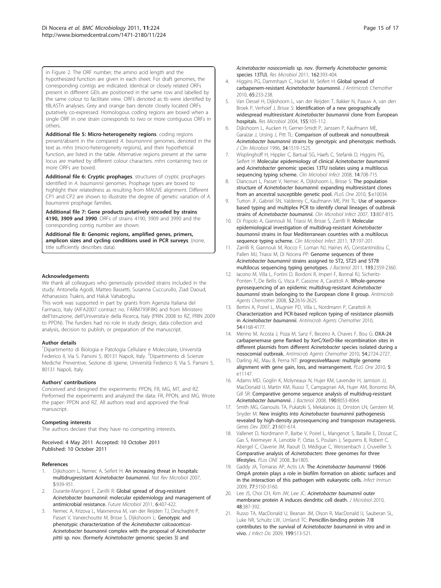<span id="page-14-0"></span>in Figure 2. The ORF number, the amino acid length and the hypothesized function are given in each sheet. For draft genomes, the corresponding contigs are indicated. Identical or closely related ORFs present in different GEIs are positioned in the same row and labelled by the same colour to facilitate view. ORFs denoted as tb were identified by tBLASTn analyses. Grey and orange bars denote closely located ORFs putatively co-expressed. Homologous coding regions are boxed when a single ORF in one strain corresponds to two or more contiguous ORFs in others.

[Additional file 5: M](http://www.biomedcentral.com/content/supplementary/1471-2180-11-224-S5.XLS)icro-heterogeneity regions. coding regions present/absent in the compared A. baumannnii genomes, denoted in the text as mhrs (micro-heterogeneity regions), and their hypothetical function, are listed in the table. Alternative regions present at the same locus are marked by different colour characters. mhrs containing two or more ORFs are boxed.

[Additional file 6: C](http://www.biomedcentral.com/content/supplementary/1471-2180-11-224-S6.PDF)ryptic prophages. structures of cryptic prophages identified in A. baumannii genomes. Prophage types are boxed to highlight their relatedness as resulting from MAUVE alignment. Different CP1 and CP2 are shown to illustrate the degree of genetic variation of A. baumannii prophage families.

[Additional file 7: G](http://www.biomedcentral.com/content/supplementary/1471-2180-11-224-S7.DOC)ene products putatively encoded by strains 4190, 3909 and 3990. ORFs of strains 4190, 3909 and 3990 and the corresponding contig number are shown.

[Additional file 8: G](http://www.biomedcentral.com/content/supplementary/1471-2180-11-224-S8.DOC)enomic regions, amplified genes, primers, amplicon sizes and cycling conditions used in PCR surveys. (none, title sufficiently describes data).

#### Acknowledgements

We thank all colleagues who generously provided strains included in the study: Antonella Agodi, Matteo Bassetti, Susanna Cuccurullo, Ziad Daoud, Athanassios Tsakris, and Haluk Vahaboglu.

This work was supported in part by grants from Agenzia Italiana del Farmaco, Italy (AIFA2007 contract no. FARM7X9F8K) and from Ministero dell'Istruzione, dell'Universita'e della Ricerca, Italy (PRIN 2008 to RZ, PRIN 2009 to PPDN). The funders had no role in study design, data collection and analysis, decision to publish, or preparation of the manuscript.

#### Author details

1 Dipartimento di Biologia e Patologia Cellulare e Molecolare, Università Federico II, Via S. Pansini 5, 80131 Napoli, Italy. <sup>2</sup>Dipartimento di Scienze Mediche Preventive, Sezione di Igiene, Università Federico II, Via S. Pansini 5, 80131 Napoli, Italy.

### Authors' contributions

Conceived and designed the experiments: PPDN, FR, MG, MT, and RZ. Performed the experiments and analyzed the data: FR, PPDN, and MG. Wrote the paper: PPDN and RZ. All authors read and approved the final manuscript.

#### Competing interests

The authors declare that they have no competing interests.

Received: 4 May 2011 Accepted: 10 October 2011 Published: 10 October 2011

#### References

- 1. Dijkshoorn L, Nemec A, Seifert H: [An increasing threat in hospitals:](http://www.ncbi.nlm.nih.gov/pubmed/18007677?dopt=Abstract) multidrugresistant [Acinetobacter baumannii](http://www.ncbi.nlm.nih.gov/pubmed/18007677?dopt=Abstract). Nat Rev Microbiol 2007, 5:939-951.
- Durante-Mangoni E, Zarrilli R: [Global spread of drug-resistant](http://www.ncbi.nlm.nih.gov/pubmed/21526942?dopt=Abstract) Acinetobacter baumannii[: molecular epidemiology and management of](http://www.ncbi.nlm.nih.gov/pubmed/21526942?dopt=Abstract) [antimicrobial resistance.](http://www.ncbi.nlm.nih.gov/pubmed/21526942?dopt=Abstract) Future Microbiol 2011, 6:407-422.
- 3. Nemec A, Krizova L, Maixnerova M, van der Reijden TJ, Deschaght P, Passet V, Vaneechoutte M, Brisse S, Dijkshoorn L: [Genotypic and](http://www.ncbi.nlm.nih.gov/pubmed/21320596?dopt=Abstract) [phenotypic characterization of the](http://www.ncbi.nlm.nih.gov/pubmed/21320596?dopt=Abstract) Acinetobacter calcoaceticus-Acinetobacter baumannii [complex with the proposal of](http://www.ncbi.nlm.nih.gov/pubmed/21320596?dopt=Abstract) Acinetobacter pittii sp. nov. (formerly Acinetobacter [genomic species 3\) and](http://www.ncbi.nlm.nih.gov/pubmed/21320596?dopt=Abstract)
- 4. Higgins PG, Dammhayn C, Hackel M, Seifert H: [Global spread of](http://www.ncbi.nlm.nih.gov/pubmed/19996144?dopt=Abstract) carbapenem-resistant [Acinetobacter baumannii](http://www.ncbi.nlm.nih.gov/pubmed/19996144?dopt=Abstract). J Antimicrob Chemother 2010, 65:233-238.
- 5. Van Dessel H, Dijkshoorn L, van der Reijden T, Bakker N, Paauw A, van den Broek P, Verhoef J, Brisse S: [Identification of a new geographically](http://www.ncbi.nlm.nih.gov/pubmed/14990262?dopt=Abstract) [widespread multiresistant](http://www.ncbi.nlm.nih.gov/pubmed/14990262?dopt=Abstract) Acinetobacter baumannii clone from European [hospitals.](http://www.ncbi.nlm.nih.gov/pubmed/14990262?dopt=Abstract) Res Microbiol 2004, 155:105-112.
- 6. Dijkshoorn L, Aucken H, Gerner-Smidt P, Janssen P, Kaufmann ME, Garaizar J, Ursing J, Pitt TL: [Comparison of outbreak and nonoutbreak](http://www.ncbi.nlm.nih.gov/pubmed/8735109?dopt=Abstract) Acinetobacter baumannii [strains by genotypic and phenotypic methods.](http://www.ncbi.nlm.nih.gov/pubmed/8735109?dopt=Abstract) J Clin Microbiol 1996, 34:1519-1525.
- 7. Wisplinghoff H, Hippler C, Bartual SG, Haefs C, Stefanik D, Higgins PG, Seifert H: [Molecular epidemiology of clinical](http://www.ncbi.nlm.nih.gov/pubmed/18558944?dopt=Abstract) Acinetobacter baumannii and Acinetobacter [genomic species 13TU isolates using a multilocus](http://www.ncbi.nlm.nih.gov/pubmed/18558944?dopt=Abstract) [sequencing typing scheme.](http://www.ncbi.nlm.nih.gov/pubmed/18558944?dopt=Abstract) Clin Microbiol Infect 2008, 14:708-715.
- 8. Diancourt L, Passet V, Nemec A, Dijkshoorn L, Brisse S: [The population](http://www.ncbi.nlm.nih.gov/pubmed/20383326?dopt=Abstract) structure of Acinetobacter baumannii[: expanding multiresistant clones](http://www.ncbi.nlm.nih.gov/pubmed/20383326?dopt=Abstract) [from an ancestral susceptible genetic pool.](http://www.ncbi.nlm.nih.gov/pubmed/20383326?dopt=Abstract) PLoS One 2010, 5:e10034.
- 9. Turton JF, Gabriel SN, Valderrey C, Kaufmann ME, Pitt TL: [Use of sequence](http://www.ncbi.nlm.nih.gov/pubmed/17610600?dopt=Abstract)[based typing and multiplex PCR to identify clonal lineages of outbreak](http://www.ncbi.nlm.nih.gov/pubmed/17610600?dopt=Abstract) strains of [Acinetobacter baumannii](http://www.ncbi.nlm.nih.gov/pubmed/17610600?dopt=Abstract). Clin Microbiol Infect 2007, 13:807-815.
- 10. Di Popolo A, Giannouli M, Triassi M, Brisse S, Zarrilli R: [Molecular](http://www.ncbi.nlm.nih.gov/pubmed/20456455?dopt=Abstract) epidemiological [investigation of multidrug-resistant](http://www.ncbi.nlm.nih.gov/pubmed/20456455?dopt=Abstract) Acinetobacter baumannii [strains in four Mediterranean countries with a multilocus](http://www.ncbi.nlm.nih.gov/pubmed/20456455?dopt=Abstract) [sequence typing scheme.](http://www.ncbi.nlm.nih.gov/pubmed/20456455?dopt=Abstract) Clin Microbiol Infect 2011, 17:197-201.
- 11. Zarrilli R, Giannouli M, Rocco F, Loman NJ, Haines AS, Constantinidou C, Pallen MJ, Triassi M, Di Nocera PP: [Genome sequences of three](http://www.ncbi.nlm.nih.gov/pubmed/21398548?dopt=Abstract) Acinetobacter baumannii [strains assigned to ST2, ST25 and ST78](http://www.ncbi.nlm.nih.gov/pubmed/21398548?dopt=Abstract) [multilocus sequencing typing genotypes.](http://www.ncbi.nlm.nih.gov/pubmed/21398548?dopt=Abstract) J Bacteriol 2011, 193:2359-2360.
- 12. Iacono M, Villa L, Fortini D, Bordoni R, Imperi F, Bonnal RJ, Sicheritz-Ponten T, De Bellis G, Visca P, Cassone A, Carattoli A: [Whole-genome](http://www.ncbi.nlm.nih.gov/pubmed/18411315?dopt=Abstract) [pyrosequencing of an epidemic multidrug-resistant](http://www.ncbi.nlm.nih.gov/pubmed/18411315?dopt=Abstract) Acinetobacter baumannii [strain belonging to the European clone II group.](http://www.ncbi.nlm.nih.gov/pubmed/18411315?dopt=Abstract) Antimicrob Agents Chemother 2008, 52:2616-2625.
- 13. Bertini A, Poirel L, Mugnier PD, Villa L, Nordmann P, Carattoli A: [Characterization and PCR-based replicon typing of resistance plasmids](http://www.ncbi.nlm.nih.gov/pubmed/20660691?dopt=Abstract) in [Acinetobacter baumannii](http://www.ncbi.nlm.nih.gov/pubmed/20660691?dopt=Abstract). Antimicrob Agents Chemother 2010, 54:4168-4177.
- 14. Merino M, Acosta J, Poza M, Sanz F, Beceiro A, Chaves F, Bou G: [OXA-24](http://www.ncbi.nlm.nih.gov/pubmed/20385865?dopt=Abstract) [carbapenemase gene flanked by XerC/XerD-like recombination sites in](http://www.ncbi.nlm.nih.gov/pubmed/20385865?dopt=Abstract) [different plasmids from different](http://www.ncbi.nlm.nih.gov/pubmed/20385865?dopt=Abstract) Acinetobacter species isolated during a [nosocomial outbreak.](http://www.ncbi.nlm.nih.gov/pubmed/20385865?dopt=Abstract) Antimicrob Agents Chemother 2010, 54:2724-2727.
- 15. Darling AE, Mau B, Perna NT: [progressiveMauve: multiple genome](http://www.ncbi.nlm.nih.gov/pubmed/20593022?dopt=Abstract) [alignment with gene gain, loss, and rearrangement.](http://www.ncbi.nlm.nih.gov/pubmed/20593022?dopt=Abstract) PLoS One 2010, 5: e11147.
- 16. Adams MD, Goglin K, Molyneaux N, Hujer KM, Lavender H, Jamison JJ, MacDonald IJ, Martin KM, Russo T, Campagnari AA, Hujer AM, Bonomo RA, Gill SR: [Comparative genome sequence analysis of multidrug-resistant](http://www.ncbi.nlm.nih.gov/pubmed/18931120?dopt=Abstract) [Acinetobacter baumannii](http://www.ncbi.nlm.nih.gov/pubmed/18931120?dopt=Abstract). J Bacteriol 2008, 190:8053-8064.
- 17. Smith MG, Gianoulis TA, Pukatzki S, Mekalanos JJ, Ornston LN, Gerstein M, Snyder M: New insights into [Acinetobacter baumannii](http://www.ncbi.nlm.nih.gov/pubmed/17344419?dopt=Abstract) pathogenesis [revealed by high-density pyrosequencing and transposon mutagenesis.](http://www.ncbi.nlm.nih.gov/pubmed/17344419?dopt=Abstract) Genes Dev 2007, 21:601-614.
- 18. Vallenet D, Nordmann P, Barbe V, Poirel L, Mangenot S, Bataille E, Dossat C, Gas S, Kreimeyer A, Lenoble P, Oztas S, Poulain J, Segurens B, Robert C, Abergel C, Claverie JM, Raoult D, Médigue C, Weissenbach J, Cruveiller S: Comparative analysis of Acinetobacters[: three genomes for three](http://www.ncbi.nlm.nih.gov/pubmed/18350144?dopt=Abstract) [lifestyles.](http://www.ncbi.nlm.nih.gov/pubmed/18350144?dopt=Abstract) PLos ONE 2008, 3:e1805.
- 19. Gaddy JA, Tomaras AP, Actis LA: The [Acinetobacter baumannii](http://www.ncbi.nlm.nih.gov/pubmed/19470746?dopt=Abstract) 19606 [OmpA protein plays a role in biofilm formation on abiotic surfaces and](http://www.ncbi.nlm.nih.gov/pubmed/19470746?dopt=Abstract) [in the interaction of this pathogen with eukaryotic cells.](http://www.ncbi.nlm.nih.gov/pubmed/19470746?dopt=Abstract) Infect Immun 2009, 77:3150-3160.
- 20. Lee JS, Choi CH, Kim JW, Lee JC: [Acinetobacter baumannii](http://www.ncbi.nlm.nih.gov/pubmed/20571958?dopt=Abstract) outer [membrane protein A induces dendritic cell death.](http://www.ncbi.nlm.nih.gov/pubmed/20571958?dopt=Abstract) J Microbiol 2010, 48:387-392.
- 21. Russo TA, MacDonald U, Beanan JM, Olson R, MacDonald IJ, Sauberan SL, Luke NR, Schultz LW, Umland TC: [Penicillin-binding protein 7/8](http://www.ncbi.nlm.nih.gov/pubmed/19143563?dopt=Abstract) [contributes to the survival of](http://www.ncbi.nlm.nih.gov/pubmed/19143563?dopt=Abstract) Acinetobacter baumannii in vitro and in [vivo.](http://www.ncbi.nlm.nih.gov/pubmed/19143563?dopt=Abstract) J Infect Dis 2009, 199:513-521.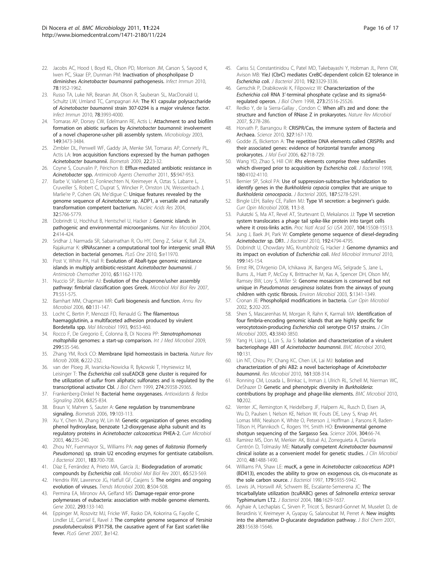- <span id="page-15-0"></span>22. Jacobs AC, Hood I, Boyd KL, Olson PD, Morrison JM, Carson S, Sayood K, Iwen PC, Skaar EP, Dunman PM: [Inactivation of phospholipase D](http://www.ncbi.nlm.nih.gov/pubmed/20194595?dopt=Abstract) diminishes [Acinetobacter baumannii](http://www.ncbi.nlm.nih.gov/pubmed/20194595?dopt=Abstract) pathogenesis. Infect Immun 2010, 78:1952-1962.
- 23. Russo TA, Luke NR, Beanan JM, Olson R, Sauberan SL, MacDonald U, Schultz LW, Umland TC, Campagnari AA: [The K1 capsular polysaccharide](http://www.ncbi.nlm.nih.gov/pubmed/20643860?dopt=Abstract) of Acinetobacter baumannii [strain 307-0294 is a major virulence factor.](http://www.ncbi.nlm.nih.gov/pubmed/20643860?dopt=Abstract) Infect Immun 2010, 78:3993-4000.
- 24. Tomaras AP, Dorsey CW, Edelmann RE, Actis L: [Attachment to and biofilm](http://www.ncbi.nlm.nih.gov/pubmed/14663080?dopt=Abstract) [formation on abiotic surfaces by](http://www.ncbi.nlm.nih.gov/pubmed/14663080?dopt=Abstract) Acinetobacter baumannii: involvement [of a novel chaperone-usher pili assembly system.](http://www.ncbi.nlm.nih.gov/pubmed/14663080?dopt=Abstract) Microbiology 2003, 149:3473-3484.
- 25. Zimbler DL, Penwell WF, Gaddy JA, Menke SM, Tomaras AP, Connerly PL, Actis LA: [Iron acquisition functions expressed by the human pathogen](http://www.ncbi.nlm.nih.gov/pubmed/19130255?dopt=Abstract) [Acinetobacter baumannii](http://www.ncbi.nlm.nih.gov/pubmed/19130255?dopt=Abstract). Biometals 2009, 22:23-32.
- 26. Coyne S, Courvalin P, Périchon B: [Efflux-mediated antibiotic resistance in](http://www.ncbi.nlm.nih.gov/pubmed/21173183?dopt=Abstract) [Acinetobacter](http://www.ncbi.nlm.nih.gov/pubmed/21173183?dopt=Abstract) spp. Antimicrob Agents Chemother 2011, 55:947-953.
- 27. Barbe V, Vallenet D, Fonknechten N, Kreimeyer A, Oztas S, Labarre L, Cruveiller S, Robert C, Duprat S, Wincker P, Ornston LN, Weissenbach J, Marlie're P, Cohen GN, Me'digue C: [Unique features revealed by the](http://www.ncbi.nlm.nih.gov/pubmed/15514110?dopt=Abstract) genome sequence of Acinetobacter [sp. ADP1, a versatile and naturally](http://www.ncbi.nlm.nih.gov/pubmed/15514110?dopt=Abstract) [transformation competent bacterium.](http://www.ncbi.nlm.nih.gov/pubmed/15514110?dopt=Abstract) Nucleic Acids Res 2004, 32:5766-5779.
- 28. Dobrindt U, Hochhut B, Hentschel U, Hacker J: [Genomic islands in](http://www.ncbi.nlm.nih.gov/pubmed/15100694?dopt=Abstract) [pathogenic and environmental microorganisms.](http://www.ncbi.nlm.nih.gov/pubmed/15100694?dopt=Abstract) Nat Rev Microbiol 2004, 2:414-424.
- 29. Sridhar J, Narmada SR, Sabarinathan R, Ou HY, Deng Z, Sekar K, Rafi ZA, Rajakumar K: [sRNAscanner: a computational tool for intergenic small RNA](http://www.ncbi.nlm.nih.gov/pubmed/20700540?dopt=Abstract) [detection in bacterial genomes.](http://www.ncbi.nlm.nih.gov/pubmed/20700540?dopt=Abstract) PLoS One 2010, 5:e11970.
- 30. Post V, White PA, Hall R: [Evolution of AbaR-type genomic resistance](http://www.ncbi.nlm.nih.gov/pubmed/20375036?dopt=Abstract) [islands in multiply antibiotic-resistant](http://www.ncbi.nlm.nih.gov/pubmed/20375036?dopt=Abstract) Acinetobacter baumannii. J Antimicrob Chemother 2010, 65:1162-1170.
- 31. Nuccio SP, Bäumler AJ: [Evolution of the chaperone/usher assembly](http://www.ncbi.nlm.nih.gov/pubmed/18063717?dopt=Abstract) [pathway: fimbrial classification goes Greek.](http://www.ncbi.nlm.nih.gov/pubmed/18063717?dopt=Abstract) Microbiol Mol Biol Rev 2007, 71:551-575.
- 32. Barnhart MM, Chapman MR: [Curli biogenesis and function.](http://www.ncbi.nlm.nih.gov/pubmed/16704339?dopt=Abstract) Annu Rev Microbiol 2006, 60:131-147.
- 33. Locht C, Bertin P, Menozzi FD, Renauld G: The [filamentous](http://www.ncbi.nlm.nih.gov/pubmed/8231801?dopt=Abstract) [haemagglutinin, a multifaceted adhesion produced by virulent](http://www.ncbi.nlm.nih.gov/pubmed/8231801?dopt=Abstract) [Bordetella spp.](http://www.ncbi.nlm.nih.gov/pubmed/8231801?dopt=Abstract) Mol Microbiol 1993, 9:653-460.
- 34. Rocco F, De Gregorio E, Colonna B, Di Nocera PP: [Stenotrophomonas](http://www.ncbi.nlm.nih.gov/pubmed/19574092?dopt=Abstract) maltophilia [genomes: a start-up comparison.](http://www.ncbi.nlm.nih.gov/pubmed/19574092?dopt=Abstract) Int J Med Microbiol 2009, 299:535-546.
- 35. Zhang YM, Rock CO: Membrane lipid homeostasis in bacteria. Nature Rev Microb 2008, 6:222-232.
- 36. van der Ploeg JR, Iwanicka-Nowicka R, Bykowski T, Hryniewicz M, Leisinger T: The Escherichia coli [ssuEADCB gene cluster is required for](http://www.ncbi.nlm.nih.gov/pubmed/10506196?dopt=Abstract) the utilization of sulfur [from aliphatic sulfonates and is regulated by the](http://www.ncbi.nlm.nih.gov/pubmed/10506196?dopt=Abstract) [transcriptional activator Cbl.](http://www.ncbi.nlm.nih.gov/pubmed/10506196?dopt=Abstract) J Biol Chem 1999, 274:29358-29365.
- 37. Frankenberg-Dinkel N: [Bacterial heme oxygenases.](http://www.ncbi.nlm.nih.gov/pubmed/21991373?dopt=Abstract) Antioxidants & Redox Signaling 2004, 6:825-834.
- 38. Braun V, Mahren S, Sauter A: [Gene regulation by transmembrane](http://www.ncbi.nlm.nih.gov/pubmed/16718597?dopt=Abstract) [signaling.](http://www.ncbi.nlm.nih.gov/pubmed/16718597?dopt=Abstract) Biometals 2006, 19:103-113.
- 39. Xu Y, Chen M, Zhang W, Lin M: [Genetic organization of genes encoding](http://www.ncbi.nlm.nih.gov/pubmed/12732969?dopt=Abstract) [phenol hydroxylase, benzoate 1,2-dioxygenase alpha subunit and its](http://www.ncbi.nlm.nih.gov/pubmed/12732969?dopt=Abstract) regulatory proteins in [Acinetobacter calcoaceticus](http://www.ncbi.nlm.nih.gov/pubmed/12732969?dopt=Abstract) PHEA-2. Curr Microbiol 2003, 46:235-240.
- 40. Zhou NY, Fuenmayor SL, Williams PA: nag genes of Ralstonia [\(formerly](http://www.ncbi.nlm.nih.gov/pubmed/11133965?dopt=Abstract) Pseudomonas[\) sp. strain U2 encoding enzymes for gentisate catabolism.](http://www.ncbi.nlm.nih.gov/pubmed/11133965?dopt=Abstract) J Bacteriol 2001, 183:700-708.
- 41. Díaz E, Ferrández A, Prieto MA, García JL: [Biodegradation of aromatic](http://www.ncbi.nlm.nih.gov/pubmed/11729263?dopt=Abstract) [compounds by](http://www.ncbi.nlm.nih.gov/pubmed/11729263?dopt=Abstract) Escherichia coli. Microbiol Mol Biol Rev 2001, 65:523-569.
- 42. Hendrix RW, Lawrence JG, Hatfull GF, Casjens S: [The origins and ongoing](http://www.ncbi.nlm.nih.gov/pubmed/11121760?dopt=Abstract) [evolution of viruses.](http://www.ncbi.nlm.nih.gov/pubmed/11121760?dopt=Abstract) Trends Microbiol 2000, 8:504-508.
- 43. Permina EA, Mironov AA, Gelfand MS: [Damage-repair error-prone](http://www.ncbi.nlm.nih.gov/pubmed/12137951?dopt=Abstract) [polymerases of eubacteria: association with mobile genome elements.](http://www.ncbi.nlm.nih.gov/pubmed/12137951?dopt=Abstract) Gene 2002, 293:133-140.
- 44. Eppinger M, Rosovitz MJ, Fricke WF, Rasko DA, Kokorina G, Fayolle C, Lindler LE, Carniel E, Ravel J: [The complete genome sequence of](http://www.ncbi.nlm.nih.gov/pubmed/17784789?dopt=Abstract) Yersinia pseudotuberculosis [IP31758, the causative agent of Far East scarlet-like](http://www.ncbi.nlm.nih.gov/pubmed/17784789?dopt=Abstract) [fever.](http://www.ncbi.nlm.nih.gov/pubmed/17784789?dopt=Abstract) PLoS Genet 2007, 3:e142.
- 45. Cariss SJ, Constantinidou C, Patel MD, Takebayashi Y, Hobman JL, Penn CW, Avison MB: [YieJ \(CbrC\) mediates CreBC-dependent colicin E2 tolerance in](http://www.ncbi.nlm.nih.gov/pubmed/20418396?dopt=Abstract) [Escherichia coli](http://www.ncbi.nlm.nih.gov/pubmed/20418396?dopt=Abstract). J Bacteriol 2010, 192:3329-3336.
- 46. Genschik P, Drabikowski K, Filipowicz W: [Characterization of the](http://www.ncbi.nlm.nih.gov/pubmed/9738023?dopt=Abstract) Escherichia coli RNA 3'[-terminal phosphate cyclase and its sigma54](http://www.ncbi.nlm.nih.gov/pubmed/9738023?dopt=Abstract) [regulated operon.](http://www.ncbi.nlm.nih.gov/pubmed/9738023?dopt=Abstract) J Biol Chem 1998, 273:25516-25526.
- 47. Redko Y, de la Sierra-Gallay , Condon C: When all's zed and done: the structure and function of RNase Z in prokaryotes. Nature Rev Microbiol 2007, 5:278-286.
- 48. Horvath P, Barrangou R: [CRISPR/Cas, the immune system of Bacteria and](http://www.ncbi.nlm.nih.gov/pubmed/20056882?dopt=Abstract) [Archaea.](http://www.ncbi.nlm.nih.gov/pubmed/20056882?dopt=Abstract) Science 2010, 327:167-170.
- 49. Godde JS, Bickerton A: [The repetitive DNA elements called CRISPRs and](http://www.ncbi.nlm.nih.gov/pubmed/16612537?dopt=Abstract) [their associated genes: evidence of horizontal transfer among](http://www.ncbi.nlm.nih.gov/pubmed/16612537?dopt=Abstract) [prokaryotes.](http://www.ncbi.nlm.nih.gov/pubmed/16612537?dopt=Abstract) J Mol Evol 2006, 62:718-729.
- 50. Wang YD, Zhao S, Hill CW: Rhs [elements comprise three subfamilies](http://www.ncbi.nlm.nih.gov/pubmed/9696756?dopt=Abstract) [which diverged prior to acquisition by](http://www.ncbi.nlm.nih.gov/pubmed/9696756?dopt=Abstract) Escherichia coli. J Bacteriol 1998, 180:4102-4110.
- 51. Bernier SP, Sokol PA: [Use of suppression-subtractive hybridization to](http://www.ncbi.nlm.nih.gov/pubmed/16030222?dopt=Abstract) identify genes in the Burkholderia cepacia [complex that are unique to](http://www.ncbi.nlm.nih.gov/pubmed/16030222?dopt=Abstract) [Burkholderia cenocepacia](http://www.ncbi.nlm.nih.gov/pubmed/16030222?dopt=Abstract). J Bacteriol 2005, 187:5278-5291.
- 52. Bingle LEH, Bailey CE, Pallen MJ: [Type VI secretion: a beginner](http://www.ncbi.nlm.nih.gov/pubmed/18289922?dopt=Abstract)'s guide. Curr Opin Microbiol 2008, 11:3-8.
- 53. Pukatzki S, Ma AT, Revel AT, Sturtevant D, Mekalanos JJ: [Type VI secretion](http://www.ncbi.nlm.nih.gov/pubmed/17873062?dopt=Abstract) [system translocates a phage tail spike-like protein into target cells](http://www.ncbi.nlm.nih.gov/pubmed/17873062?dopt=Abstract) [where it cross-links actin.](http://www.ncbi.nlm.nih.gov/pubmed/17873062?dopt=Abstract) Proc Natl Acad Sci USA 2007, 104:15508-15513.
- 54. Jung J, Baek JH, Park W: [Complete genome sequence of diesel-degrading](http://www.ncbi.nlm.nih.gov/pubmed/20639327?dopt=Abstract) [Acinetobacter](http://www.ncbi.nlm.nih.gov/pubmed/20639327?dopt=Abstract) sp. DR1. J Bacteriol 2010, 192:4794-4795.
- 55. Dobrindt U, Chowdary MG, Krumbholz G, Hacker J: [Genome dynamics and](http://www.ncbi.nlm.nih.gov/pubmed/20445988?dopt=Abstract) [its impact on evolution of](http://www.ncbi.nlm.nih.gov/pubmed/20445988?dopt=Abstract) Escherichia coli. Med Microbiol Immunol 2010, 199:145-154.
- 56. Ernst RK, D'Argenio DA, Ichikawa JK, Bangera MG, Selgrade S, Jane L, Burns JL, Hiatt P, McCoy K, Brittnacher M, Kas A, Spencer DH, Olson MV, Ramsey BW, Lory S, Miller SI: [Genome mosaicism is conserved but not](http://www.ncbi.nlm.nih.gov/pubmed/14641578?dopt=Abstract) unique in Pseudomonas aeruginosa [isolates from the airways of young](http://www.ncbi.nlm.nih.gov/pubmed/14641578?dopt=Abstract) [children with cystic fibrosis.](http://www.ncbi.nlm.nih.gov/pubmed/14641578?dopt=Abstract) Environ Microbiol 2003, 5:1341-1349.
- 57. Cronan JE: [Phospholipid modifications in bacteria.](http://www.ncbi.nlm.nih.gov/pubmed/11934618?dopt=Abstract) Curr Opin Microbiol 2002, 5:202-205.
- 58. Shen S, Mascarenhas M, Morgan R, Rahn K, Karmali MA: [Identification of](http://www.ncbi.nlm.nih.gov/pubmed/16081921?dopt=Abstract) [four fimbria-encoding genomic islands that are highly specific for](http://www.ncbi.nlm.nih.gov/pubmed/16081921?dopt=Abstract) [verocytotoxin-producing](http://www.ncbi.nlm.nih.gov/pubmed/16081921?dopt=Abstract) Escherichia coli serotype O157 strains. J Clin Microbiol 2005, 43:3840-3850.
- 59. Yang H, Liang L, Lin S, Jia S: [Isolation and characterization of a virulent](http://www.ncbi.nlm.nih.gov/pubmed/20426877?dopt=Abstract) bacteriophage AB1 of [Acinetobacter baumannii](http://www.ncbi.nlm.nih.gov/pubmed/20426877?dopt=Abstract). BMC Microbiol 2010, 10:131.
- 60. Lin NT, Chiou PY, Chang KC, Chen LK, Lai MJ: [Isolation and](http://www.ncbi.nlm.nih.gov/pubmed/20385229?dopt=Abstract) [characterization of phi AB2: a novel bacteriophage of](http://www.ncbi.nlm.nih.gov/pubmed/20385229?dopt=Abstract) Acinetobacter [baumannii](http://www.ncbi.nlm.nih.gov/pubmed/20385229?dopt=Abstract). Res Microbiol 2010, 161:308-314.
- 61. Ronning CM, Losada L, Brinkac L, Inman J, Ulrich RL, Schell M, Nierman WC, DeShazer D: [Genetic and phenotypic diversity in](http://www.ncbi.nlm.nih.gov/pubmed/20667135?dopt=Abstract) Burkholderia: [contributions by prophage and phage-like elements.](http://www.ncbi.nlm.nih.gov/pubmed/20667135?dopt=Abstract) BMC Microbiol 2010, 10:202.
- 62. Venter JC, Remington K, Heidelberg JF, Halpern AL, Rusch D, Eisen JA, Wu D, Paulsen I, Nelson KE, Nelson W, Fouts DE, Levy S, Knap AH, Lomas MW, Nealson K, White O, Peterson J, Hoffman J, Parsons R, Baden-Tillson H, Pfannkoch C, Rogers YH, Smith HO: [Environmental genome](http://www.ncbi.nlm.nih.gov/pubmed/15001713?dopt=Abstract) [shotgun sequencing of the Sargasso Sea.](http://www.ncbi.nlm.nih.gov/pubmed/15001713?dopt=Abstract) Science 2004, 304:66-74.
- 63. Ramirez MS, Don M, Merkier AK, Bistué AJ, Zorreguieta A, Daniela Centrón D, Tolmasky ME: Naturally competent [Acinetobacter baumannii](http://www.ncbi.nlm.nih.gov/pubmed/20181905?dopt=Abstract) [clinical isolate as a convenient model for genetic studies.](http://www.ncbi.nlm.nih.gov/pubmed/20181905?dopt=Abstract) J Clin Microbiol 2010, 48:1488-1490.
- 64. Williams PA, Shaw LE: mucK, a gene in [Acinetobacter calcoaceticus](http://www.ncbi.nlm.nih.gov/pubmed/9294455?dopt=Abstract) ADP1 [\(BD413\), encodes the ability to grow on exogenous cis, cis-muconate as](http://www.ncbi.nlm.nih.gov/pubmed/9294455?dopt=Abstract) [the sole carbon source.](http://www.ncbi.nlm.nih.gov/pubmed/9294455?dopt=Abstract) J Bacteriol 1997, 179:5935-5942.
- 65. Lewis JA, Horswill AR, Schwem BE, Escalante-Semerena JC: [The](http://www.ncbi.nlm.nih.gov/pubmed/14996793?dopt=Abstract) [tricarballylate utilization \(tcuRABC\) genes of](http://www.ncbi.nlm.nih.gov/pubmed/14996793?dopt=Abstract) Salmonella enterica serovar [Typhimurium LT2.](http://www.ncbi.nlm.nih.gov/pubmed/14996793?dopt=Abstract) J Bacteriol 2004, 186:1629-1637.
- Aghaie A, Lechaplais C, Sirven P, Tricot S, Besnard-Gonnet M, Muselet D, de Berardinis V, Kreimeyer A, Gyapay G, Salanoubat M, Perret A: New insights into the alternative D-glucarate degradation pathway. J Biol Chem 2001, 283:15638-15646.